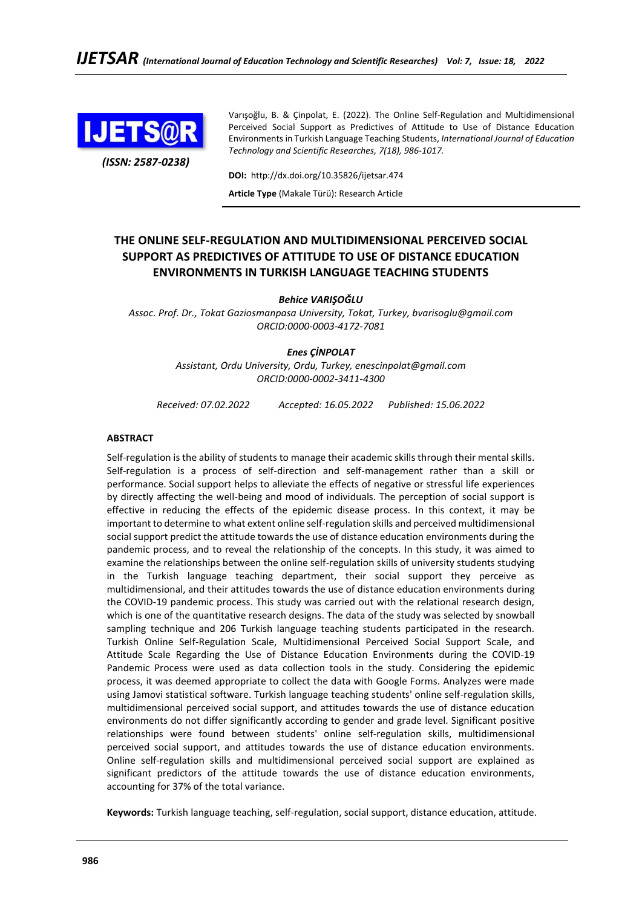

*(ISSN: 2587-0238)*

Varışoğlu, B. & Çinpolat, E. (2022). The Online Self-Regulation and Multidimensional Perceived Social Support as Predictives of Attitude to Use of Distance Education Environments in Turkish Language Teaching Students, *International Journal of Education Technology and Scientific Researches, 7(18), 986-1017.*

**DOI:** http://dx.doi.org/10.35826/ijetsar.474

**Article Type** (Makale Türü): Research Article

# **THE ONLINE SELF-REGULATION AND MULTIDIMENSIONAL PERCEIVED SOCIAL SUPPORT AS PREDICTIVES OF ATTITUDE TO USE OF DISTANCE EDUCATION ENVIRONMENTS IN TURKISH LANGUAGE TEACHING STUDENTS**

*Behice VARIŞOĞLU*

*Assoc. Prof. Dr., Tokat Gaziosmanpasa University, Tokat, Turkey, bvarisoglu@gmail.com ORCID:0000-0003-4172-7081*

### *Enes ÇİNPOLAT*

*Assistant, Ordu University, Ordu, Turkey, enescinpolat@gmail.com ORCID:0000-0002-3411-4300*

*Received: 07.02.2022 Accepted: 16.05.2022 Published: 15.06.2022*

### **ABSTRACT**

Self-regulation is the ability of students to manage their academic skills through their mental skills. Self-regulation is a process of self-direction and self-management rather than a skill or performance. Social support helps to alleviate the effects of negative or stressful life experiences by directly affecting the well-being and mood of individuals. The perception of social support is effective in reducing the effects of the epidemic disease process. In this context, it may be important to determine to what extent online self-regulation skills and perceived multidimensional social support predict the attitude towards the use of distance education environments during the pandemic process, and to reveal the relationship of the concepts. In this study, it was aimed to examine the relationships between the online self-regulation skills of university students studying in the Turkish language teaching department, their social support they perceive as multidimensional, and their attitudes towards the use of distance education environments during the COVID-19 pandemic process. This study was carried out with the relational research design, which is one of the quantitative research designs. The data of the study was selected by snowball sampling technique and 206 Turkish language teaching students participated in the research. Turkish Online Self-Regulation Scale, Multidimensional Perceived Social Support Scale, and Attitude Scale Regarding the Use of Distance Education Environments during the COVID-19 Pandemic Process were used as data collection tools in the study. Considering the epidemic process, it was deemed appropriate to collect the data with Google Forms. Analyzes were made using Jamovi statistical software. Turkish language teaching students' online self-regulation skills, multidimensional perceived social support, and attitudes towards the use of distance education environments do not differ significantly according to gender and grade level. Significant positive relationships were found between students' online self-regulation skills, multidimensional perceived social support, and attitudes towards the use of distance education environments. Online self-regulation skills and multidimensional perceived social support are explained as significant predictors of the attitude towards the use of distance education environments, accounting for 37% of the total variance.

**Keywords:** Turkish language teaching, self-regulation, social support, distance education, attitude.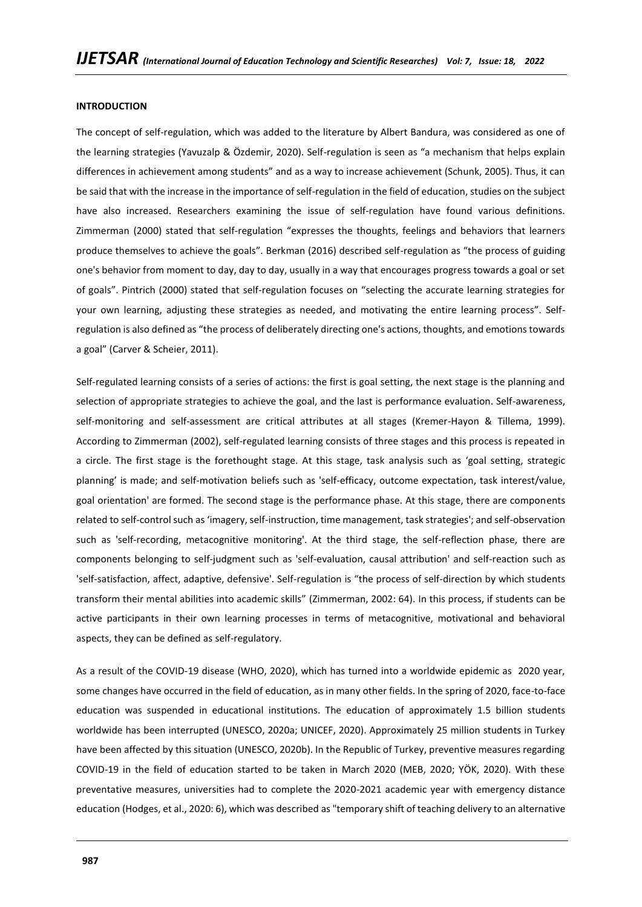### **INTRODUCTION**

The concept of self-regulation, which was added to the literature by Albert Bandura, was considered as one of the learning strategies (Yavuzalp & Özdemir, 2020). Self-regulation is seen as "a mechanism that helps explain differences in achievement among students" and as a way to increase achievement (Schunk, 2005). Thus, it can be said that with the increase in the importance of self-regulation in the field of education, studies on the subject have also increased. Researchers examining the issue of self-regulation have found various definitions. Zimmerman (2000) stated that self-regulation "expresses the thoughts, feelings and behaviors that learners produce themselves to achieve the goals". Berkman (2016) described self-regulation as "the process of guiding one's behavior from moment to day, day to day, usually in a way that encourages progress towards a goal or set of goals". Pintrich (2000) stated that self-regulation focuses on "selecting the accurate learning strategies for your own learning, adjusting these strategies as needed, and motivating the entire learning process". Selfregulation is also defined as "the process of deliberately directing one's actions, thoughts, and emotions towards a goal" (Carver & Scheier, 2011).

Self-regulated learning consists of a series of actions: the first is goal setting, the next stage is the planning and selection of appropriate strategies to achieve the goal, and the last is performance evaluation. Self-awareness, self-monitoring and self-assessment are critical attributes at all stages (Kremer-Hayon & Tillema, 1999). According to Zimmerman (2002), self-regulated learning consists of three stages and this process is repeated in a circle. The first stage is the forethought stage. At this stage, task analysis such as 'goal setting, strategic planning' is made; and self-motivation beliefs such as 'self-efficacy, outcome expectation, task interest/value, goal orientation' are formed. The second stage is the performance phase. At this stage, there are components related to self-control such as 'imagery, self-instruction, time management, task strategies'; and self-observation such as 'self-recording, metacognitive monitoring'. At the third stage, the self-reflection phase, there are components belonging to self-judgment such as 'self-evaluation, causal attribution' and self-reaction such as 'self-satisfaction, affect, adaptive, defensive'. Self-regulation is "the process of self-direction by which students transform their mental abilities into academic skills" (Zimmerman, 2002: 64). In this process, if students can be active participants in their own learning processes in terms of metacognitive, motivational and behavioral aspects, they can be defined as self-regulatory.

As a result of the COVID-19 disease (WHO, 2020), which has turned into a worldwide epidemic as 2020 year, some changes have occurred in the field of education, as in many other fields. In the spring of 2020, face-to-face education was suspended in educational institutions. The education of approximately 1.5 billion students worldwide has been interrupted (UNESCO, 2020a; UNICEF, 2020). Approximately 25 million students in Turkey have been affected by this situation (UNESCO, 2020b). In the Republic of Turkey, preventive measures regarding COVID-19 in the field of education started to be taken in March 2020 (MEB, 2020; YÖK, 2020). With these preventative measures, universities had to complete the 2020-2021 academic year with emergency distance education (Hodges, et al., 2020: 6), which was described as "temporary shift of teaching delivery to an alternative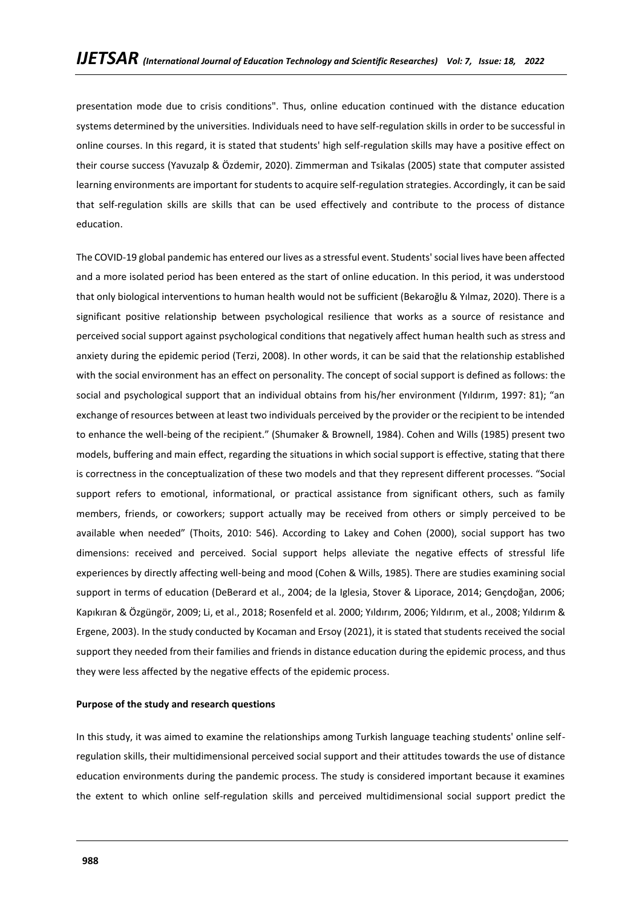presentation mode due to crisis conditions". Thus, online education continued with the distance education systems determined by the universities. Individuals need to have self-regulation skills in order to be successful in online courses. In this regard, it is stated that students' high self-regulation skills may have a positive effect on their course success (Yavuzalp & Özdemir, 2020). Zimmerman and Tsikalas (2005) state that computer assisted learning environments are important for students to acquire self-regulation strategies. Accordingly, it can be said that self-regulation skills are skills that can be used effectively and contribute to the process of distance education.

The COVID-19 global pandemic has entered our lives as a stressful event. Students' social lives have been affected and a more isolated period has been entered as the start of online education. In this period, it was understood that only biological interventions to human health would not be sufficient (Bekaroğlu & Yılmaz, 2020). There is a significant positive relationship between psychological resilience that works as a source of resistance and perceived social support against psychological conditions that negatively affect human health such as stress and anxiety during the epidemic period (Terzi, 2008). In other words, it can be said that the relationship established with the social environment has an effect on personality. The concept of social support is defined as follows: the social and psychological support that an individual obtains from his/her environment (Yıldırım, 1997: 81); "an exchange of resources between at least two individuals perceived by the provider or the recipient to be intended to enhance the well-being of the recipient." (Shumaker & Brownell, 1984). Cohen and Wills (1985) present two models, buffering and main effect, regarding the situations in which social support is effective, stating that there is correctness in the conceptualization of these two models and that they represent different processes. "Social support refers to emotional, informational, or practical assistance from significant others, such as family members, friends, or coworkers; support actually may be received from others or simply perceived to be available when needed" (Thoits, 2010: 546). According to Lakey and Cohen (2000), social support has two dimensions: received and perceived. Social support helps alleviate the negative effects of stressful life experiences by directly affecting well-being and mood (Cohen & Wills, 1985). There are studies examining social support in terms of education (DeBerard et al., 2004; de la Iglesia, Stover & Liporace, 2014; Gençdoğan, 2006; Kapıkıran & Özgüngör, 2009; Li, et al., 2018; Rosenfeld et al. 2000; Yıldırım, 2006; Yıldırım, et al., 2008; Yıldırım & Ergene, 2003). In the study conducted by Kocaman and Ersoy (2021), it is stated that students received the social support they needed from their families and friends in distance education during the epidemic process, and thus they were less affected by the negative effects of the epidemic process.

### **Purpose of the study and research questions**

In this study, it was aimed to examine the relationships among Turkish language teaching students' online selfregulation skills, their multidimensional perceived social support and their attitudes towards the use of distance education environments during the pandemic process. The study is considered important because it examines the extent to which online self-regulation skills and perceived multidimensional social support predict the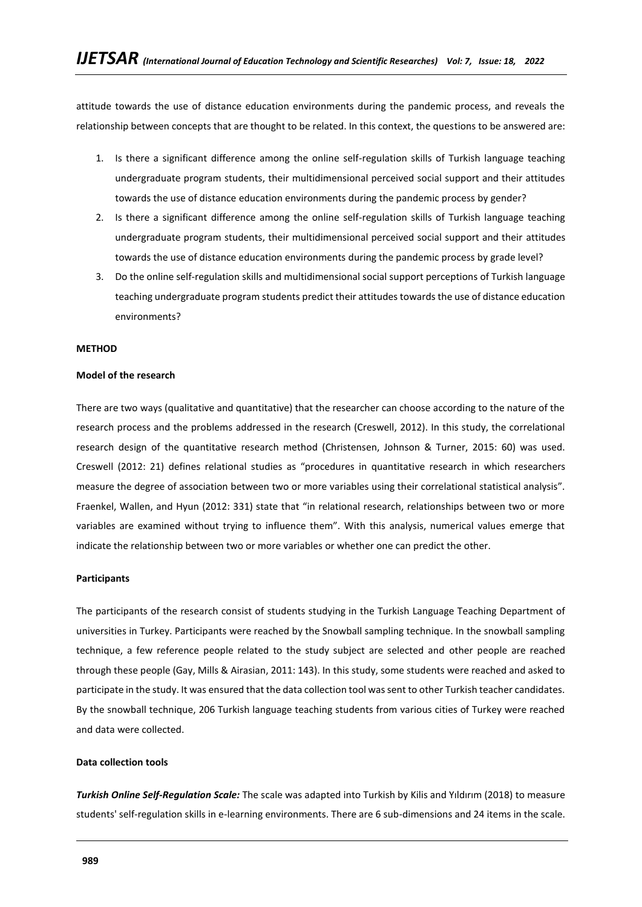attitude towards the use of distance education environments during the pandemic process, and reveals the relationship between concepts that are thought to be related. In this context, the questions to be answered are:

- 1. Is there a significant difference among the online self-regulation skills of Turkish language teaching undergraduate program students, their multidimensional perceived social support and their attitudes towards the use of distance education environments during the pandemic process by gender?
- 2. Is there a significant difference among the online self-regulation skills of Turkish language teaching undergraduate program students, their multidimensional perceived social support and their attitudes towards the use of distance education environments during the pandemic process by grade level?
- 3. Do the online self-regulation skills and multidimensional social support perceptions of Turkish language teaching undergraduate program students predict their attitudes towards the use of distance education environments?

### **METHOD**

### **Model of the research**

There are two ways (qualitative and quantitative) that the researcher can choose according to the nature of the research process and the problems addressed in the research (Creswell, 2012). In this study, the correlational research design of the quantitative research method (Christensen, Johnson & Turner, 2015: 60) was used. Creswell (2012: 21) defines relational studies as "procedures in quantitative research in which researchers measure the degree of association between two or more variables using their correlational statistical analysis". Fraenkel, Wallen, and Hyun (2012: 331) state that "in relational research, relationships between two or more variables are examined without trying to influence them". With this analysis, numerical values emerge that indicate the relationship between two or more variables or whether one can predict the other.

### **Participants**

The participants of the research consist of students studying in the Turkish Language Teaching Department of universities in Turkey. Participants were reached by the Snowball sampling technique. In the snowball sampling technique, a few reference people related to the study subject are selected and other people are reached through these people (Gay, Mills & Airasian, 2011: 143). In this study, some students were reached and asked to participate in the study. It was ensured that the data collection tool was sent to other Turkish teacher candidates. By the snowball technique, 206 Turkish language teaching students from various cities of Turkey were reached and data were collected.

### **Data collection tools**

*Turkish Online Self-Regulation Scale:* The scale was adapted into Turkish by Kilis and Yıldırım (2018) to measure students' self-regulation skills in e-learning environments. There are 6 sub-dimensions and 24 items in the scale.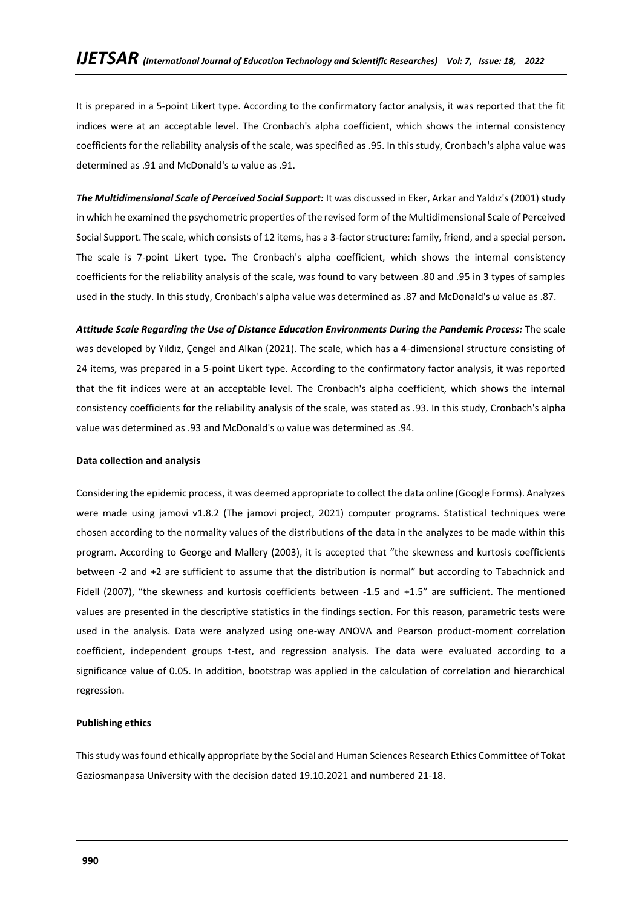It is prepared in a 5-point Likert type. According to the confirmatory factor analysis, it was reported that the fit indices were at an acceptable level. The Cronbach's alpha coefficient, which shows the internal consistency coefficients for the reliability analysis of the scale, was specified as .95. In this study, Cronbach's alpha value was determined as .91 and McDonald's ω value as .91.

*The Multidimensional Scale of Perceived Social Support:* It was discussed in Eker, Arkar and Yaldız's (2001) study in which he examined the psychometric properties of the revised form of the Multidimensional Scale of Perceived Social Support. The scale, which consists of 12 items, has a 3-factor structure: family, friend, and a special person. The scale is 7-point Likert type. The Cronbach's alpha coefficient, which shows the internal consistency coefficients for the reliability analysis of the scale, was found to vary between .80 and .95 in 3 types of samples used in the study. In this study, Cronbach's alpha value was determined as .87 and McDonald's ω value as .87.

*Attitude Scale Regarding the Use of Distance Education Environments During the Pandemic Process:* The scale was developed by Yıldız, Çengel and Alkan (2021). The scale, which has a 4-dimensional structure consisting of 24 items, was prepared in a 5-point Likert type. According to the confirmatory factor analysis, it was reported that the fit indices were at an acceptable level. The Cronbach's alpha coefficient, which shows the internal consistency coefficients for the reliability analysis of the scale, was stated as .93. In this study, Cronbach's alpha value was determined as .93 and McDonald's ω value was determined as .94.

### **Data collection and analysis**

Considering the epidemic process, it was deemed appropriate to collect the data online (Google Forms). Analyzes were made using jamovi v1.8.2 (The jamovi project, 2021) computer programs. Statistical techniques were chosen according to the normality values of the distributions of the data in the analyzes to be made within this program. According to George and Mallery (2003), it is accepted that "the skewness and kurtosis coefficients between -2 and +2 are sufficient to assume that the distribution is normal" but according to Tabachnick and Fidell (2007), "the skewness and kurtosis coefficients between -1.5 and +1.5" are sufficient. The mentioned values are presented in the descriptive statistics in the findings section. For this reason, parametric tests were used in the analysis. Data were analyzed using one-way ANOVA and Pearson product-moment correlation coefficient, independent groups t-test, and regression analysis. The data were evaluated according to a significance value of 0.05. In addition, bootstrap was applied in the calculation of correlation and hierarchical regression.

### **Publishing ethics**

This study was found ethically appropriate by the Social and Human Sciences Research Ethics Committee of Tokat Gaziosmanpasa University with the decision dated 19.10.2021 and numbered 21-18.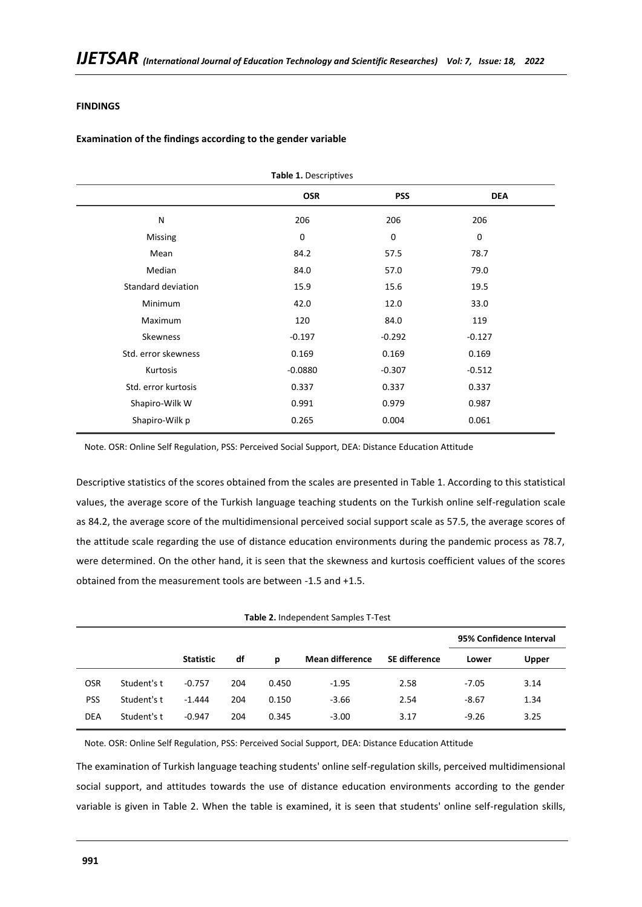### **FINDINGS**

### **Examination of the findings according to the gender variable**

| Table 1. Descriptives |            |            |            |  |  |  |  |
|-----------------------|------------|------------|------------|--|--|--|--|
|                       | <b>OSR</b> | <b>PSS</b> | <b>DEA</b> |  |  |  |  |
| N                     | 206        | 206        | 206        |  |  |  |  |
| <b>Missing</b>        | 0          | 0          | 0          |  |  |  |  |
| Mean                  | 84.2       | 57.5       | 78.7       |  |  |  |  |
| Median                | 84.0       | 57.0       | 79.0       |  |  |  |  |
| Standard deviation    | 15.9       | 15.6       | 19.5       |  |  |  |  |
| Minimum               | 42.0       | 12.0       | 33.0       |  |  |  |  |
| Maximum               | 120        | 84.0       | 119        |  |  |  |  |
| Skewness              | $-0.197$   | $-0.292$   | $-0.127$   |  |  |  |  |
| Std. error skewness   | 0.169      | 0.169      | 0.169      |  |  |  |  |
| Kurtosis              | $-0.0880$  | $-0.307$   | $-0.512$   |  |  |  |  |
| Std. error kurtosis   | 0.337      | 0.337      | 0.337      |  |  |  |  |
| Shapiro-Wilk W        | 0.991      | 0.979      | 0.987      |  |  |  |  |
| Shapiro-Wilk p        | 0.265      | 0.004      | 0.061      |  |  |  |  |
|                       |            |            |            |  |  |  |  |

Note. OSR: Online Self Regulation, PSS: Perceived Social Support, DEA: Distance Education Attitude

Descriptive statistics of the scores obtained from the scales are presented in Table 1. According to this statistical values, the average score of the Turkish language teaching students on the Turkish online self-regulation scale as 84.2, the average score of the multidimensional perceived social support scale as 57.5, the average scores of the attitude scale regarding the use of distance education environments during the pandemic process as 78.7, were determined. On the other hand, it is seen that the skewness and kurtosis coefficient values of the scores obtained from the measurement tools are between -1.5 and +1.5.

| 95% Confidence Interval |
|-------------------------|
| Upper                   |
| 3.14                    |
| 1.34                    |
| 3.25                    |
|                         |

Note. OSR: Online Self Regulation, PSS: Perceived Social Support, DEA: Distance Education Attitude

The examination of Turkish language teaching students' online self-regulation skills, perceived multidimensional social support, and attitudes towards the use of distance education environments according to the gender variable is given in Table 2. When the table is examined, it is seen that students' online self-regulation skills,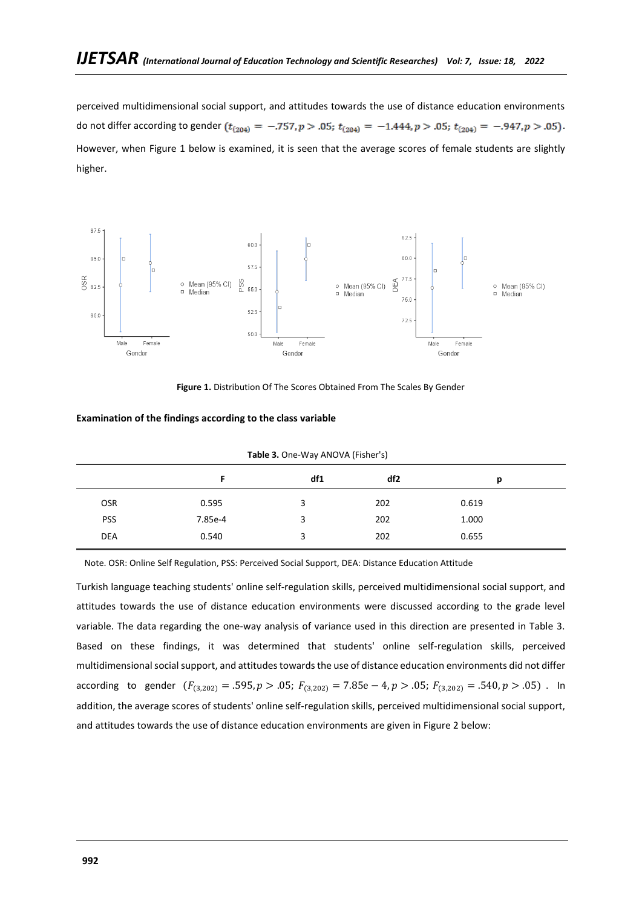perceived multidimensional social support, and attitudes towards the use of distance education environments do not differ according to gender  $(t_{(204)} = -.757, p > .05; t_{(204)} = -1.444, p > .05; t_{(204)} = -.947, p > .05)$ . However, when Figure 1 below is examined, it is seen that the average scores of female students are slightly higher.



Figure 1. Distribution Of The Scores Obtained From The Scales By Gender

| Examination of the findings according to the class variable |  |  |  |  |  |  |  |
|-------------------------------------------------------------|--|--|--|--|--|--|--|
|-------------------------------------------------------------|--|--|--|--|--|--|--|

|         | df1 | df2 | р                                 |  |  |  |  |
|---------|-----|-----|-----------------------------------|--|--|--|--|
| 0.595   | 3   | 202 | 0.619                             |  |  |  |  |
| 7.85e-4 | 3   | 202 | 1.000                             |  |  |  |  |
| 0.540   | 3   | 202 | 0.655                             |  |  |  |  |
|         |     |     | Table 3. One-Way ANOVA (Fisher's) |  |  |  |  |

Note. OSR: Online Self Regulation, PSS: Perceived Social Support, DEA: Distance Education Attitude

Turkish language teaching students' online self-regulation skills, perceived multidimensional social support, and attitudes towards the use of distance education environments were discussed according to the grade level variable. The data regarding the one-way analysis of variance used in this direction are presented in Table 3. Based on these findings, it was determined that students' online self-regulation skills, perceived multidimensional social support, and attitudes towards the use of distance education environments did not differ according to gender  $(F_{(3,202)} = .595, p > .05; F_{(3,202)} = 7.85e-4, p > .05; F_{(3,202)} = .540, p > .05)$ . In addition, the average scores of students' online self-regulation skills, perceived multidimensional social support, and attitudes towards the use of distance education environments are given in Figure 2 below: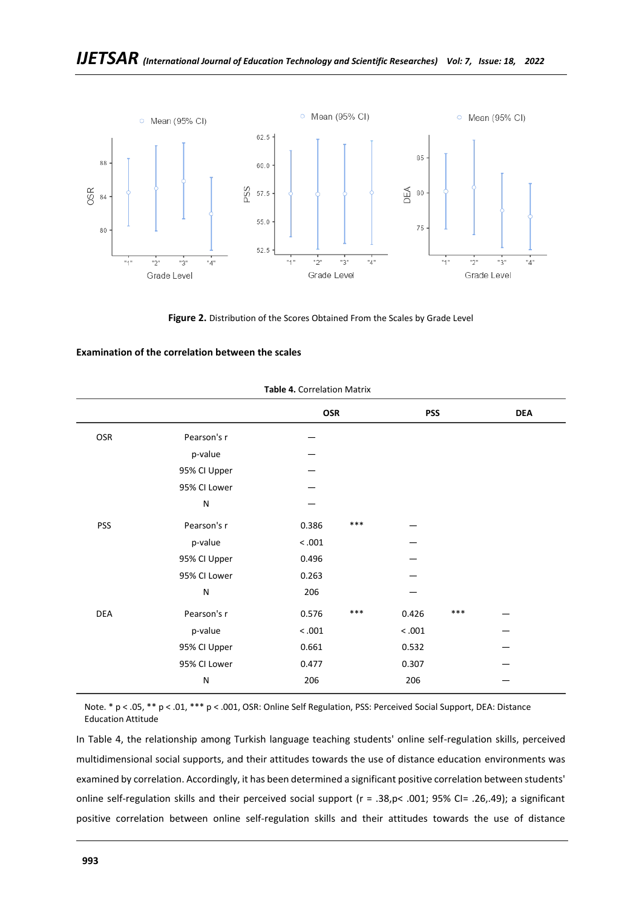

**Figure 2.** Distribution of the Scores Obtained From the Scales by Grade Level

### **Examination of the correlation between the scales**

|            |              | OSR            | <b>PSS</b>   | <b>DEA</b> |
|------------|--------------|----------------|--------------|------------|
| OSR        | Pearson's r  |                |              |            |
|            | p-value      |                |              |            |
|            | 95% CI Upper |                |              |            |
|            | 95% CI Lower |                |              |            |
|            | N            |                |              |            |
| <b>PSS</b> | Pearson's r  | $***$<br>0.386 |              |            |
|            | p-value      | < 0.001        |              |            |
|            | 95% CI Upper | 0.496          |              |            |
|            | 95% CI Lower | 0.263          |              |            |
|            | N            | 206            |              |            |
| DEA        | Pearson's r  | $***$<br>0.576 | ***<br>0.426 |            |
|            | p-value      | < 0.001        | < 0.001      |            |
|            | 95% CI Upper | 0.661          | 0.532        |            |
|            | 95% CI Lower | 0.477          | 0.307        |            |
|            | N            | 206            | 206          |            |
|            |              |                |              |            |

#### **Table 4.** Correlation Matrix

Note. \* p < .05, \*\* p < .01, \*\*\* p < .001, OSR: Online Self Regulation, PSS: Perceived Social Support, DEA: Distance Education Attitude

In Table 4, the relationship among Turkish language teaching students' online self-regulation skills, perceived multidimensional social supports, and their attitudes towards the use of distance education environments was examined by correlation. Accordingly, it has been determined a significant positive correlation between students' online self-regulation skills and their perceived social support (r = .38,p< .001; 95% CI= .26,.49); a significant positive correlation between online self-regulation skills and their attitudes towards the use of distance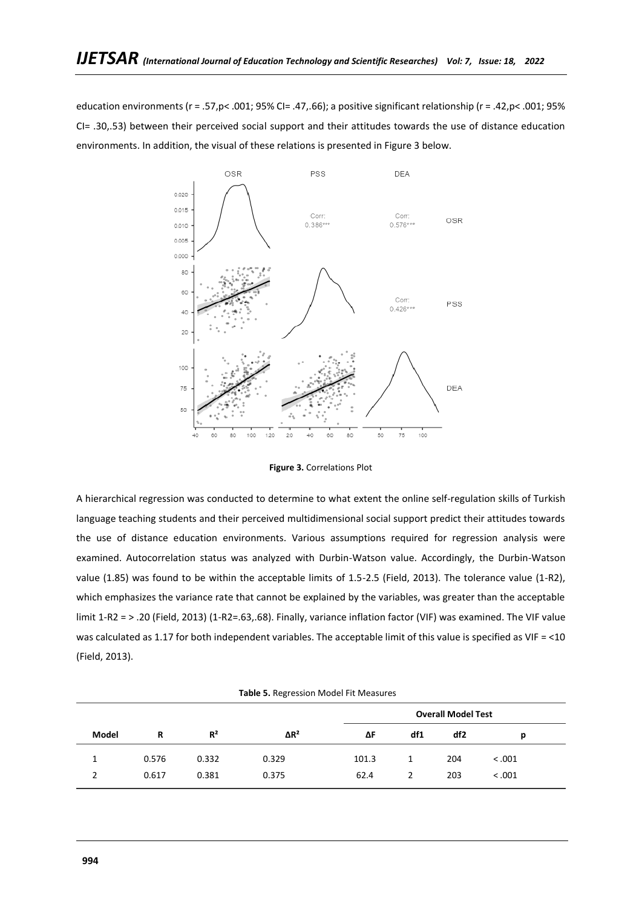education environments (r = .57,p< .001; 95% CI= .47,.66); a positive significant relationship (r = .42,p< .001; 95% CI= .30,.53) between their perceived social support and their attitudes towards the use of distance education environments. In addition, the visual of these relations is presented in Figure 3 below.



**Figure 3.** Correlations Plot

A hierarchical regression was conducted to determine to what extent the online self-regulation skills of Turkish language teaching students and their perceived multidimensional social support predict their attitudes towards the use of distance education environments. Various assumptions required for regression analysis were examined. Autocorrelation status was analyzed with Durbin-Watson value. Accordingly, the Durbin-Watson value (1.85) was found to be within the acceptable limits of 1.5-2.5 (Field, 2013). The tolerance value (1-R2), which emphasizes the variance rate that cannot be explained by the variables, was greater than the acceptable limit 1-R2 = > .20 (Field, 2013) (1-R2=.63,.68). Finally, variance inflation factor (VIF) was examined. The VIF value was calculated as 1.17 for both independent variables. The acceptable limit of this value is specified as VIF = <10 (Field, 2013).

|               | Table 5. Regression Model Fit Measures |       |              |       |              |                           |        |  |  |  |  |
|---------------|----------------------------------------|-------|--------------|-------|--------------|---------------------------|--------|--|--|--|--|
|               |                                        |       |              |       |              | <b>Overall Model Test</b> |        |  |  |  |  |
| Model         | R                                      | $R^2$ | $\Delta R^2$ | ΔF    | df1          | df2                       | р      |  |  |  |  |
|               | 0.576                                  | 0.332 | 0.329        | 101.3 | $\mathbf{1}$ | 204                       | < .001 |  |  |  |  |
| $\mathcal{P}$ | 0.617                                  | 0.381 | 0.375        | 62.4  | 2            | 203                       | < .001 |  |  |  |  |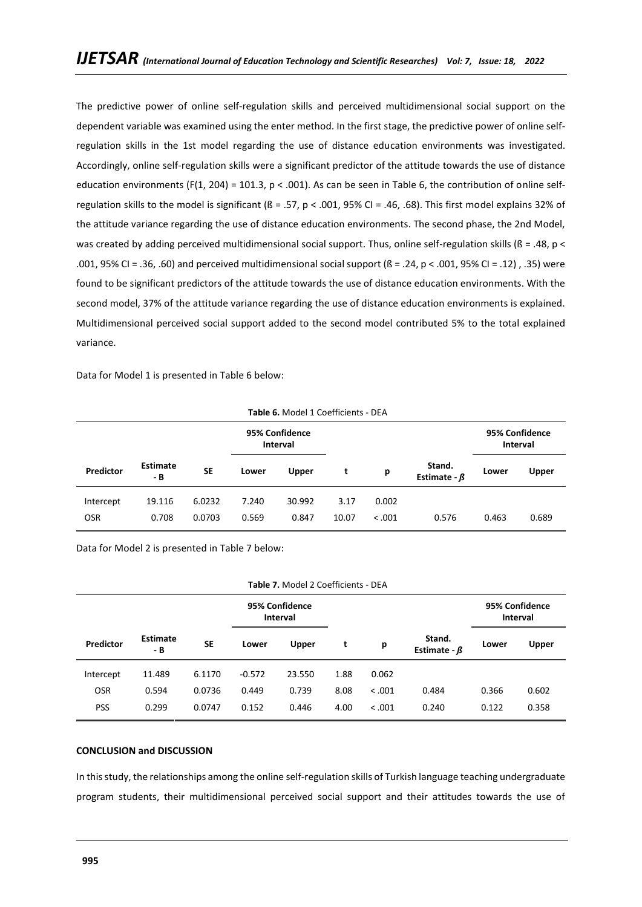The predictive power of online self-regulation skills and perceived multidimensional social support on the dependent variable was examined using the enter method. In the first stage, the predictive power of online selfregulation skills in the 1st model regarding the use of distance education environments was investigated. Accordingly, online self-regulation skills were a significant predictor of the attitude towards the use of distance education environments (F(1, 204) = 101.3,  $p < .001$ ). As can be seen in Table 6, the contribution of online selfregulation skills to the model is significant (ß = .57, p < .001, 95% CI = .46, .68). This first model explains 32% of the attitude variance regarding the use of distance education environments. The second phase, the 2nd Model, was created by adding perceived multidimensional social support. Thus, online self-regulation skills ( $\beta$  = .48, p < .001, 95% CI = .36, .60) and perceived multidimensional social support (ß = .24, p < .001, 95% CI = .12) , .35) were found to be significant predictors of the attitude towards the use of distance education environments. With the second model, 37% of the attitude variance regarding the use of distance education environments is explained. Multidimensional perceived social support added to the second model contributed 5% to the total explained variance.

Data for Model 1 is presented in Table 6 below:

|            | Table 6. MOUEL L'OCHILIENTS - DEA |           |                                   |        |       |         |                              |       |                            |  |
|------------|-----------------------------------|-----------|-----------------------------------|--------|-------|---------|------------------------------|-------|----------------------------|--|
|            |                                   |           | 95% Confidence<br><b>Interval</b> |        |       |         |                              |       | 95% Confidence<br>Interval |  |
| Predictor  | <b>Estimate</b><br>- B            | <b>SE</b> | Upper<br>Lower                    |        | t     | р       | Stand.<br>Estimate - $\beta$ | Lower | <b>Upper</b>               |  |
| Intercept  | 19.116                            | 6.0232    | 7.240                             | 30.992 | 3.17  | 0.002   |                              |       |                            |  |
| <b>OSR</b> | 0.708                             | 0.0703    | 0.569                             | 0.847  | 10.07 | < 0.001 | 0.576                        | 0.463 | 0.689                      |  |

**Table 6.** Model 1 Coefficients - DEA

Data for Model 2 is presented in Table 7 below:

|            | <b>Table 7.</b> Model 2 Coefficients - DEA |           |                                   |              |      |         |                              |       |                            |  |
|------------|--------------------------------------------|-----------|-----------------------------------|--------------|------|---------|------------------------------|-------|----------------------------|--|
|            |                                            |           | 95% Confidence<br><b>Interval</b> |              |      |         |                              |       | 95% Confidence<br>Interval |  |
| Predictor  | <b>Estimate</b><br>- B                     | <b>SE</b> | Lower                             | <b>Upper</b> |      | р       | Stand.<br>Estimate - $\beta$ | Lower | Upper                      |  |
| Intercept  | 11.489                                     | 6.1170    | $-0.572$                          | 23.550       | 1.88 | 0.062   |                              |       |                            |  |
| <b>OSR</b> | 0.594                                      | 0.0736    | 0.449                             | 0.739        | 8.08 | < 0.001 | 0.484                        | 0.366 | 0.602                      |  |
| <b>PSS</b> | 0.299                                      | 0.0747    | 0.152                             | 0.446        | 4.00 | < .001  | 0.240                        | 0.122 | 0.358                      |  |
|            |                                            |           |                                   |              |      |         |                              |       |                            |  |

### **Table 7.** Model 2 Coefficients - DEA

### **CONCLUSION and DISCUSSION**

In this study, the relationships among the online self-regulation skills of Turkish language teaching undergraduate program students, their multidimensional perceived social support and their attitudes towards the use of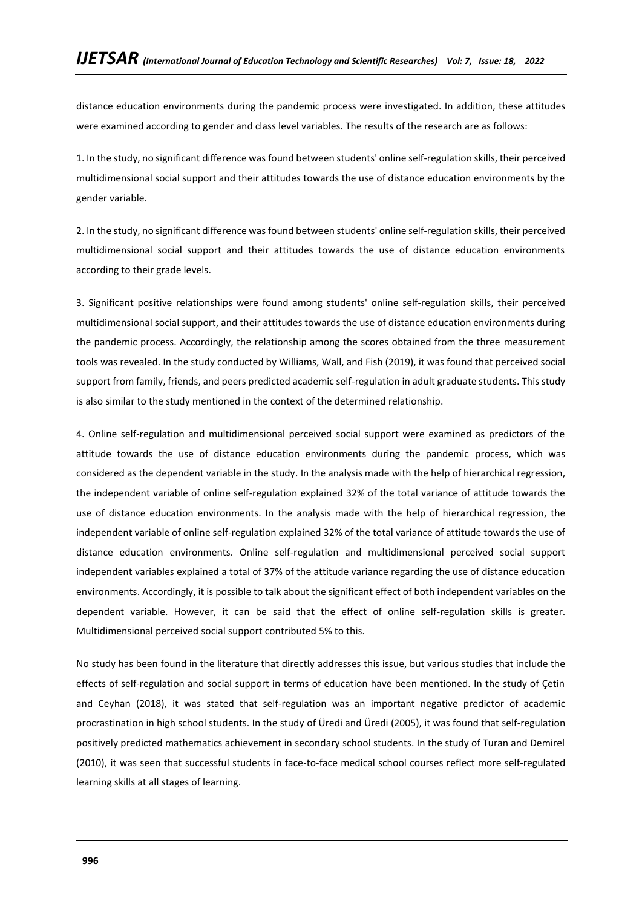distance education environments during the pandemic process were investigated. In addition, these attitudes were examined according to gender and class level variables. The results of the research are as follows:

1. In the study, no significant difference was found between students' online self-regulation skills, their perceived multidimensional social support and their attitudes towards the use of distance education environments by the gender variable.

2. In the study, no significant difference was found between students' online self-regulation skills, their perceived multidimensional social support and their attitudes towards the use of distance education environments according to their grade levels.

3. Significant positive relationships were found among students' online self-regulation skills, their perceived multidimensional social support, and their attitudes towards the use of distance education environments during the pandemic process. Accordingly, the relationship among the scores obtained from the three measurement tools was revealed. In the study conducted by Williams, Wall, and Fish (2019), it was found that perceived social support from family, friends, and peers predicted academic self-regulation in adult graduate students. This study is also similar to the study mentioned in the context of the determined relationship.

4. Online self-regulation and multidimensional perceived social support were examined as predictors of the attitude towards the use of distance education environments during the pandemic process, which was considered as the dependent variable in the study. In the analysis made with the help of hierarchical regression, the independent variable of online self-regulation explained 32% of the total variance of attitude towards the use of distance education environments. In the analysis made with the help of hierarchical regression, the independent variable of online self-regulation explained 32% of the total variance of attitude towards the use of distance education environments. Online self-regulation and multidimensional perceived social support independent variables explained a total of 37% of the attitude variance regarding the use of distance education environments. Accordingly, it is possible to talk about the significant effect of both independent variables on the dependent variable. However, it can be said that the effect of online self-regulation skills is greater. Multidimensional perceived social support contributed 5% to this.

No study has been found in the literature that directly addresses this issue, but various studies that include the effects of self-regulation and social support in terms of education have been mentioned. In the study of Çetin and Ceyhan (2018), it was stated that self-regulation was an important negative predictor of academic procrastination in high school students. In the study of Üredi and Üredi (2005), it was found that self-regulation positively predicted mathematics achievement in secondary school students. In the study of Turan and Demirel (2010), it was seen that successful students in face-to-face medical school courses reflect more self-regulated learning skills at all stages of learning.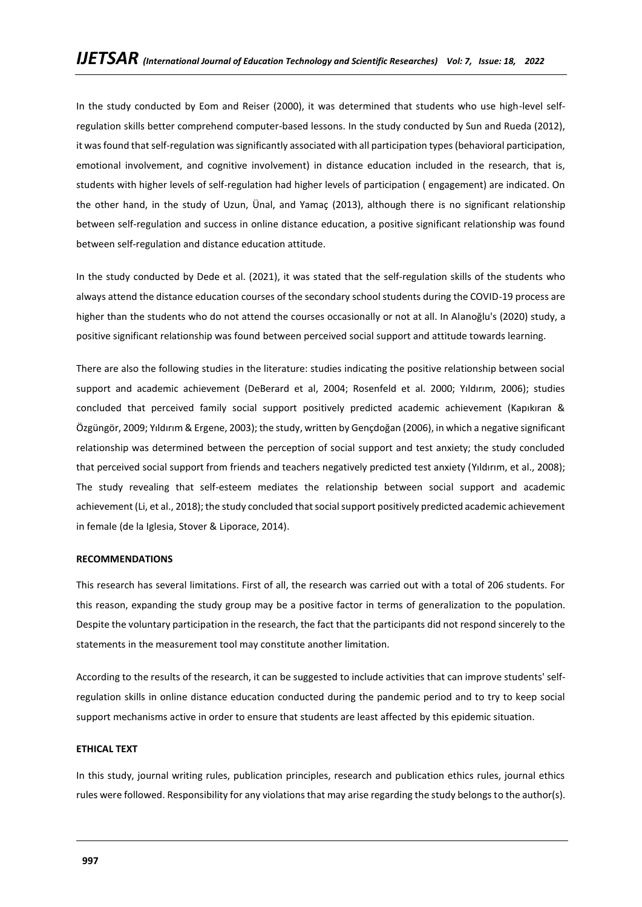In the study conducted by Eom and Reiser (2000), it was determined that students who use high-level selfregulation skills better comprehend computer-based lessons. In the study conducted by Sun and Rueda (2012), it was found that self-regulation was significantly associated with all participation types (behavioral participation, emotional involvement, and cognitive involvement) in distance education included in the research, that is, students with higher levels of self-regulation had higher levels of participation ( engagement) are indicated. On the other hand, in the study of Uzun, Ünal, and Yamaç (2013), although there is no significant relationship between self-regulation and success in online distance education, a positive significant relationship was found between self-regulation and distance education attitude.

In the study conducted by Dede et al. (2021), it was stated that the self-regulation skills of the students who always attend the distance education courses of the secondary school students during the COVID-19 process are higher than the students who do not attend the courses occasionally or not at all. In Alanoğlu's (2020) study, a positive significant relationship was found between perceived social support and attitude towards learning.

There are also the following studies in the literature: studies indicating the positive relationship between social support and academic achievement (DeBerard et al, 2004; Rosenfeld et al. 2000; Yıldırım, 2006); studies concluded that perceived family social support positively predicted academic achievement (Kapıkıran & Özgüngör, 2009; Yıldırım & Ergene, 2003); the study, written by Gençdoğan (2006), in which a negative significant relationship was determined between the perception of social support and test anxiety; the study concluded that perceived social support from friends and teachers negatively predicted test anxiety (Yıldırım, et al., 2008); The study revealing that self-esteem mediates the relationship between social support and academic achievement (Li, et al., 2018); the study concluded that social support positively predicted academic achievement in female (de la Iglesia, Stover & Liporace, 2014).

### **RECOMMENDATIONS**

This research has several limitations. First of all, the research was carried out with a total of 206 students. For this reason, expanding the study group may be a positive factor in terms of generalization to the population. Despite the voluntary participation in the research, the fact that the participants did not respond sincerely to the statements in the measurement tool may constitute another limitation.

According to the results of the research, it can be suggested to include activities that can improve students' selfregulation skills in online distance education conducted during the pandemic period and to try to keep social support mechanisms active in order to ensure that students are least affected by this epidemic situation.

### **ETHICAL TEXT**

In this study, journal writing rules, publication principles, research and publication ethics rules, journal ethics rules were followed. Responsibility for any violations that may arise regarding the study belongs to the author(s).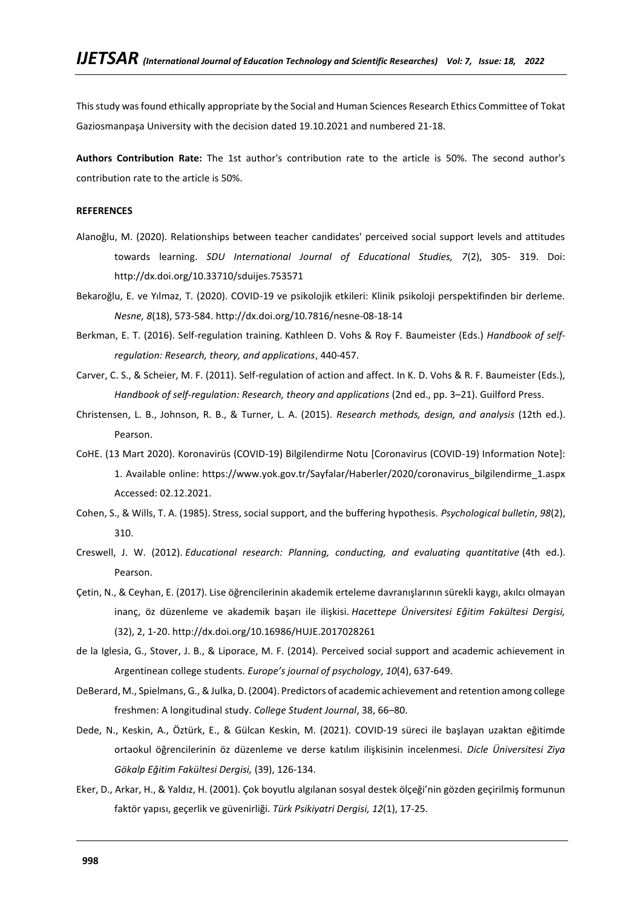This study was found ethically appropriate by the Social and Human Sciences Research Ethics Committee of Tokat Gaziosmanpaşa University with the decision dated 19.10.2021 and numbered 21-18.

**Authors Contribution Rate:** The 1st author's contribution rate to the article is 50%. The second author's contribution rate to the article is 50%.

### **REFERENCES**

- Alanoğlu, M. (2020). Relationships between teacher candidates' perceived social support levels and attitudes towards learning. *SDU International Journal of Educational Studies, 7*(2), 305- 319. Doi: http://dx.doi.org/10.33710/sduijes.753571
- Bekaroğlu, E. ve Yılmaz, T. (2020). COVID-19 ve psikolojik etkileri: Klinik psikoloji perspektifinden bir derleme. *Nesne, 8*(18), 573-584. http://dx.doi.org/10.7816/nesne-08-18-14
- Berkman, E. T. (2016). Self-regulation training. Kathleen D. Vohs & Roy F. Baumeister (Eds.) *Handbook of selfregulation: Research, theory, and applications*, 440-457.
- Carver, C. S., & Scheier, M. F. (2011). Self-regulation of action and affect. In K. D. Vohs & R. F. Baumeister (Eds.), *Handbook of self-regulation: Research, theory and applications (2nd ed., pp. 3–21). Guilford Press.*
- Christensen, L. B., Johnson, R. B., & Turner, L. A. (2015). *Research methods, design, and analysis* (12th ed.). Pearson.
- CoHE. (13 Mart 2020). Koronavirüs (COVID-19) Bilgilendirme Notu [Coronavirus (COVID-19) Information Note]: 1. Available online: [https://www.yok.gov.tr/Sayfalar/Haberler/2020/coronavirus\\_bilgilendirme\\_1.aspx](https://www.yok.gov.tr/Sayfalar/Haberler/2020/coronavirus_bilgilendirme_1.aspx) Accessed: 02.12.2021.
- Cohen, S., & Wills, T. A. (1985). Stress, social support, and the buffering hypothesis. *Psychological bulletin*, *98*(2), 310.
- Creswell, J. W. (2012). *Educational research: Planning, conducting, and evaluating quantitative* (4th ed.). Pearson.
- Çetin, N., & Ceyhan, E. (2017). Lise öğrencilerinin akademik erteleme davranışlarının sürekli kaygı, akılcı olmayan inanç, öz düzenleme ve akademik başarı ile ilişkisi. *Hacettepe Üniversitesi Eğitim Fakültesi Dergisi,*  (32), 2, 1-20. http://dx.doi.org/10.16986/HUJE.2017028261
- de la Iglesia, G., Stover, J. B., & Liporace, M. F. (2014). Perceived social support and academic achievement in Argentinean college students. *Europe's journal of psychology*, *10*(4), 637-649.
- DeBerard, M., Spielmans, G., & Julka, D. (2004). Predictors of academic achievement and retention among college freshmen: A longitudinal study. *College Student Journal*, 38, 66–80.
- Dede, N., Keskin, A., Öztürk, E., & Gülcan Keskin, M. (2021). COVID-19 süreci ile başlayan uzaktan eğitimde ortaokul öğrencilerinin öz düzenleme ve derse katılım ilişkisinin incelenmesi. *Dicle Üniversitesi Ziya Gökalp Eğitim Fakültesi Dergisi,* (39), 126-134.
- Eker, D., Arkar, H., & Yaldız, H. (2001). Çok boyutlu algılanan sosyal destek ölçeği'nin gözden geçirilmiş formunun faktör yapısı, geçerlik ve güvenirliği. *Türk Psikiyatri Dergisi, 12*(1), 17-25.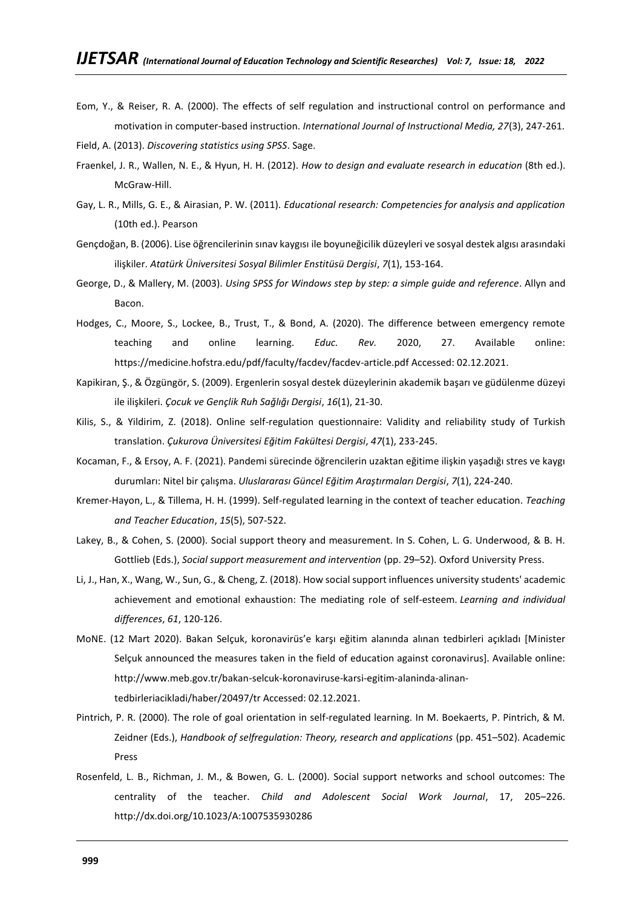Eom, Y., & Reiser, R. A. (2000). The effects of self regulation and instructional control on performance and motivation in computer-based instruction. *International Journal of Instructional Media, 27*(3), 247-261.

Field, A. (2013). *Discovering statistics using SPSS*. Sage.

- Fraenkel, J. R., Wallen, N. E., & Hyun, H. H. (2012). *How to design and evaluate research in education* (8th ed.). McGraw-Hill.
- Gay, L. R., Mills, G. E., & Airasian, P. W. (2011). *Educational research: Competencies for analysis and application* (10th ed.). Pearson
- Gençdoğan, B. (2006). Lise öğrencilerinin sınav kaygısı ile boyuneğicilik düzeyleri ve sosyal destek algısı arasındaki ilişkiler. *Atatürk Üniversitesi Sosyal Bilimler Enstitüsü Dergisi*, *7*(1), 153-164.
- George, D., & Mallery, M. (2003). *Using SPSS for Windows step by step: a simple guide and reference*. Allyn and Bacon.
- Hodges, C., Moore, S., Lockee, B., Trust, T., & Bond, A. (2020). The difference between emergency remote teaching and online learning. *Educ. Rev.* 2020, 27. Available online: <https://medicine.hofstra.edu/pdf/faculty/facdev/facdev-article.pdf> Accessed: 02.12.2021.
- Kapikiran, Ş., & Özgüngör, S. (2009). Ergenlerin sosyal destek düzeylerinin akademik başarı ve güdülenme düzeyi ile ilişkileri. *Çocuk ve Gençlik Ruh Sağlığı Dergisi*, *16*(1), 21-30.
- Kilis, S., & Yildirim, Z. (2018). Online self-regulation questionnaire: Validity and reliability study of Turkish translation. *Çukurova Üniversitesi Eğitim Fakültesi Dergisi*, *47*(1), 233-245.
- Kocaman, F., & Ersoy, A. F. (2021). Pandemi sürecinde öğrencilerin uzaktan eğitime ilişkin yaşadığı stres ve kaygı durumları: Nitel bir çalışma. *Uluslararası Güncel Eğitim Araştırmaları Dergisi*, *7*(1), 224-240.
- Kremer-Hayon, L., & Tillema, H. H. (1999). Self-regulated learning in the context of teacher education. *Teaching and Teacher Education*, *15*(5), 507-522.
- Lakey, B., & Cohen, S. (2000). Social support theory and measurement. In S. Cohen, L. G. Underwood, & B. H. Gottlieb (Eds.), *Social support measurement and intervention* (pp. 29–52). Oxford University Press.
- Li, J., Han, X., Wang, W., Sun, G., & Cheng, Z. (2018). How social support influences university students' academic achievement and emotional exhaustion: The mediating role of self-esteem. *Learning and individual differences*, *61*, 120-126.
- MoNE. (12 Mart 2020). Bakan Selçuk, koronavirüs'e karşı eğitim alanında alınan tedbirleri açıkladı [Minister Selçuk announced the measures taken in the field of education against coronavirus]. Available online: [http://www.meb.gov.tr/bakan-selcuk-koronaviruse-karsi-egitim-alaninda-alinan](http://www.meb.gov.tr/bakan-selcuk-koronaviruse-karsi-egitim-alaninda-alinan-tedbirleriacikladi/haber/20497/tr)[tedbirleriacikladi/haber/20497/tr](http://www.meb.gov.tr/bakan-selcuk-koronaviruse-karsi-egitim-alaninda-alinan-tedbirleriacikladi/haber/20497/tr) Accessed: 02.12.2021.
- Pintrich, P. R. (2000). The role of goal orientation in self-regulated learning. In M. Boekaerts, P. Pintrich, & M. Zeidner (Eds.), *Handbook of selfregulation: Theory, research and applications* (pp. 451–502). Academic Press
- Rosenfeld, L. B., Richman, J. M., & Bowen, G. L. (2000). Social support networks and school outcomes: The centrality of the teacher. *Child and Adolescent Social Work Journal*, 17, 205–226. http://dx.doi.org/10.1023/A:1007535930286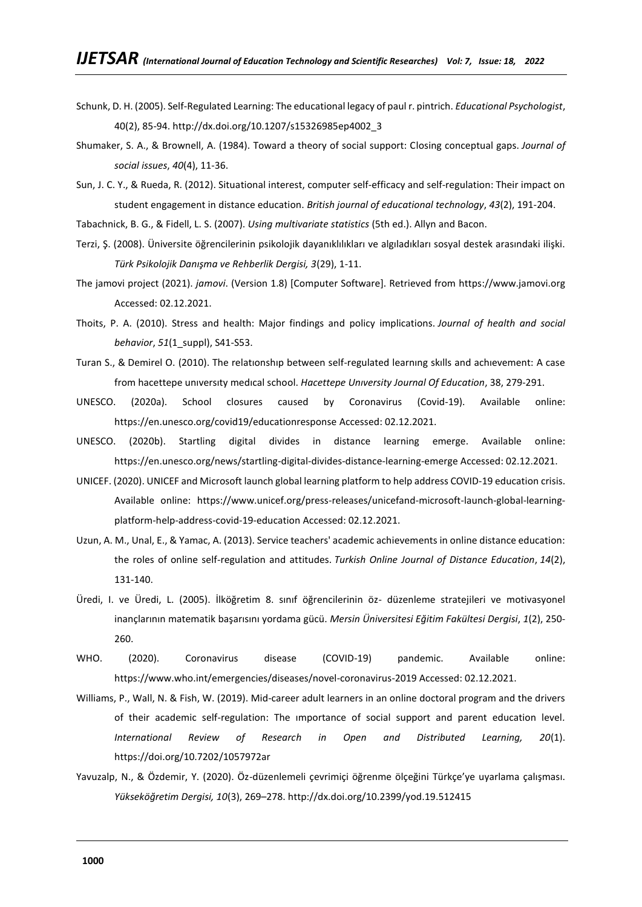- Schunk, D. H. (2005). Self-Regulated Learning: The educational legacy of paul r. pintrich. *Educational Psychologist*, 40(2), 85-94. http://dx.doi.org/10.1207/s15326985ep4002\_3
- Shumaker, S. A., & Brownell, A. (1984). Toward a theory of social support: Closing conceptual gaps. *Journal of social issues*, *40*(4), 11-36.
- Sun, J. C. Y., & Rueda, R. (2012). Situational interest, computer self‐efficacy and self‐regulation: Their impact on student engagement in distance education. *British journal of educational technology*, *43*(2), 191-204.
- Tabachnick, B. G., & Fidell, L. S. (2007). *Using multivariate statistics* (5th ed.). Allyn and Bacon.
- Terzi, Ş. (2008). Üniversite öğrencilerinin psikolojik dayanıklılıkları ve algıladıkları sosyal destek arasındaki ilişki. *Türk Psikolojik Danışma ve Rehberlik Dergisi, 3*(29), 1-11.
- The jamovi project (2021). *jamovi*. (Version 1.8) [Computer Software]. Retrieved from [https://www.jamovi.org](https://www.jamovi.org/) Accessed: 02.12.2021.
- Thoits, P. A. (2010). Stress and health: Major findings and policy implications. *Journal of health and social behavior*, *51*(1\_suppl), S41-S53.
- Turan S., & Demirel O. (2010). The relatıonshıp between self-regulated learnıng skılls and achıevement: A case from hacettepe unıversıty medıcal school. *Hacettepe Unıversity Journal Of Education*, 38, 279-291.
- UNESCO. (2020a). School closures caused by Coronavirus (Covid-19). Available online: <https://en.unesco.org/covid19/educationresponse> Accessed: 02.12.2021.
- UNESCO. (2020b). Startling digital divides in distance learning emerge. Available online: <https://en.unesco.org/news/startling-digital-divides-distance-learning-emerge> Accessed: 02.12.2021.
- UNICEF. (2020). UNICEF and Microsoft launch global learning platform to help address COVID-19 education crisis. Available online: [https://www.unicef.org/press-releases/unicefand-microsoft-launch-global-learning](https://www.unicef.org/press-releases/unicefand-microsoft-launch-global-learning-platform-help-address-covid-19-education)[platform-help-address-covid-19-education](https://www.unicef.org/press-releases/unicefand-microsoft-launch-global-learning-platform-help-address-covid-19-education) Accessed: 02.12.2021.
- Uzun, A. M., Unal, E., & Yamac, A. (2013). Service teachers' academic achievements in online distance education: the roles of online self-regulation and attitudes. *Turkish Online Journal of Distance Education*, *14*(2), 131-140.
- Üredi, I. ve Üredi, L. (2005). İlköğretim 8. sınıf öğrencilerinin öz- düzenleme stratejileri ve motivasyonel inançlarının matematik başarısını yordama gücü. *Mersin Üniversitesi Eğitim Fakültesi Dergisi*, *1*(2), 250- 260.
- WHO. (2020). Coronavirus disease (COVID-19) pandemic. Available online: <https://www.who.int/emergencies/diseases/novel-coronavirus-2019> Accessed: 02.12.2021.
- Williams, P., Wall, N. & Fish, W. (2019). Mid-career adult learners in an online doctoral program and the drivers of their academic self-regulation: The ımportance of social support and parent education level*. International Review of Research in Open and Distributed Learning, 20*(1). https://doi.org/10.7202/1057972ar
- Yavuzalp, N., & Özdemir, Y. (2020). Öz-düzenlemeli çevrimiçi öğrenme ölçeğini Türkçe'ye uyarlama çalışması. *Yükseköğretim Dergisi, 10*(3), 269–278. http://dx.doi.org/10.2399/yod.19.512415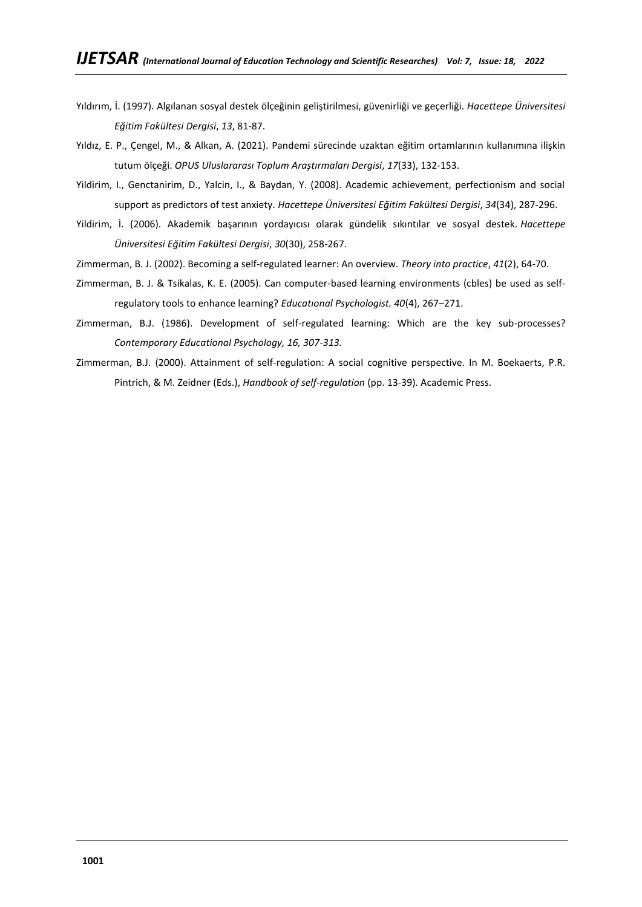- Yıldırım, İ. (1997). Algılanan sosyal destek ölçeğinin geliştirilmesi, güvenirliği ve geçerliği. *Hacettepe Üniversitesi Eğitim Fakültesi Dergisi*, *13*, 81-87.
- Yıldız, E. P., Çengel, M., & Alkan, A. (2021). Pandemi sürecinde uzaktan eğitim ortamlarının kullanımına ilişkin tutum ölçeği. *OPUS Uluslararası Toplum Araştırmaları Dergisi*, *17*(33), 132-153.
- Yildirim, I., Genctanirim, D., Yalcin, I., & Baydan, Y. (2008). Academic achievement, perfectionism and social support as predictors of test anxiety. *Hacettepe Üniversitesi Eğitim Fakültesi Dergisi*, *34*(34), 287-296.
- Yildirim, İ. (2006). Akademik başarının yordayıcısı olarak gündelik sıkıntılar ve sosyal destek. *Hacettepe Üniversitesi Eğitim Fakültesi Dergisi*, *30*(30), 258-267.
- Zimmerman, B. J. (2002). Becoming a self-regulated learner: An overview. *Theory into practice*, *41*(2), 64-70.
- Zimmerman, B. J. & Tsikalas, K. E. (2005). Can computer-based learning environments (cbles) be used as selfregulatory tools to enhance learning? *Educatıonal Psychologist. 40*(4), 267–271.
- Zimmerman, B.J. (1986). Development of self-regulated learning: Which are the key sub-processes? *Contemporary Educational Psychology, 16, 307-313.*
- Zimmerman, B.J. (2000). Attainment of self-regulation: A social cognitive perspective. In M. Boekaerts, P.R. Pintrich, & M. Zeidner (Eds.), *Handbook of self-regulation* (pp. 13-39). Academic Press.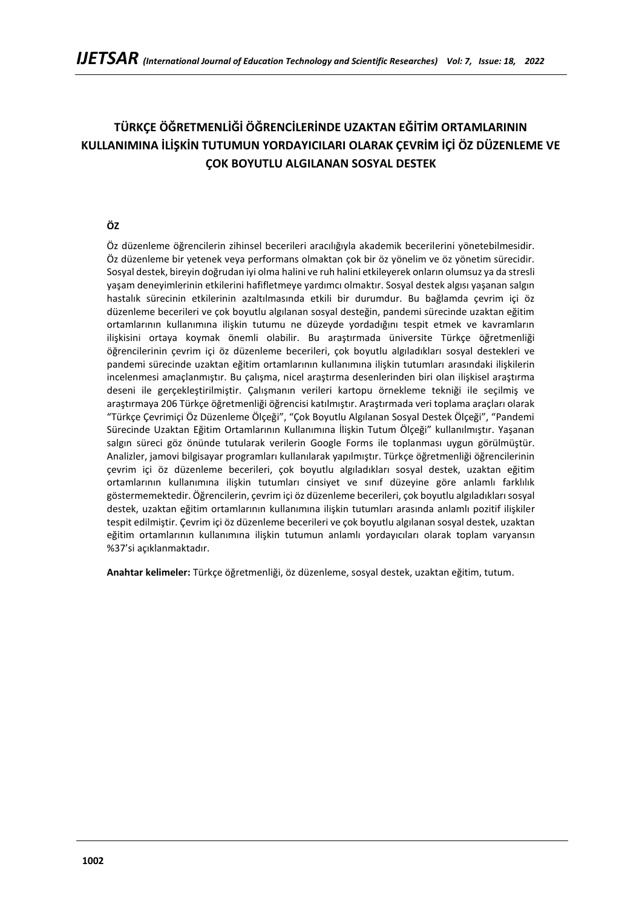# **TÜRKÇE ÖĞRETMENLİĞİ ÖĞRENCİLERİNDE UZAKTAN EĞİTİM ORTAMLARININ KULLANIMINA İLİŞKİN TUTUMUN YORDAYICILARI OLARAK ÇEVRİM İÇİ ÖZ DÜZENLEME VE ÇOK BOYUTLU ALGILANAN SOSYAL DESTEK**

## **ÖZ**

Öz düzenleme öğrencilerin zihinsel becerileri aracılığıyla akademik becerilerini yönetebilmesidir. Öz düzenleme bir yetenek veya performans olmaktan çok bir öz yönelim ve öz yönetim sürecidir. Sosyal destek, bireyin doğrudan iyi olma halini ve ruh halini etkileyerek onların olumsuz ya da stresli yaşam deneyimlerinin etkilerini hafifletmeye yardımcı olmaktır. Sosyal destek algısı yaşanan salgın hastalık sürecinin etkilerinin azaltılmasında etkili bir durumdur. Bu bağlamda çevrim içi öz düzenleme becerileri ve çok boyutlu algılanan sosyal desteğin, pandemi sürecinde uzaktan eğitim ortamlarının kullanımına ilişkin tutumu ne düzeyde yordadığını tespit etmek ve kavramların ilişkisini ortaya koymak önemli olabilir. Bu araştırmada üniversite Türkçe öğretmenliği öğrencilerinin çevrim içi öz düzenleme becerileri, çok boyutlu algıladıkları sosyal destekleri ve pandemi sürecinde uzaktan eğitim ortamlarının kullanımına ilişkin tutumları arasındaki ilişkilerin incelenmesi amaçlanmıştır. Bu çalışma, nicel araştırma desenlerinden biri olan ilişkisel araştırma deseni ile gerçekleştirilmiştir. Çalışmanın verileri kartopu örnekleme tekniği ile seçilmiş ve araştırmaya 206 Türkçe öğretmenliği öğrencisi katılmıştır. Araştırmada veri toplama araçları olarak "Türkçe Çevrimiçi Öz Düzenleme Ölçeği", "Çok Boyutlu Algılanan Sosyal Destek Ölçeği", "Pandemi Sürecinde Uzaktan Eğitim Ortamlarının Kullanımına İlişkin Tutum Ölçeği" kullanılmıştır. Yaşanan salgın süreci göz önünde tutularak verilerin Google Forms ile toplanması uygun görülmüştür. Analizler, jamovi bilgisayar programları kullanılarak yapılmıştır. Türkçe öğretmenliği öğrencilerinin çevrim içi öz düzenleme becerileri, çok boyutlu algıladıkları sosyal destek, uzaktan eğitim ortamlarının kullanımına ilişkin tutumları cinsiyet ve sınıf düzeyine göre anlamlı farklılık göstermemektedir. Öğrencilerin, çevrim içi öz düzenleme becerileri, çok boyutlu algıladıkları sosyal destek, uzaktan eğitim ortamlarının kullanımına ilişkin tutumları arasında anlamlı pozitif ilişkiler tespit edilmiştir. Çevrim içi öz düzenleme becerileri ve çok boyutlu algılanan sosyal destek, uzaktan eğitim ortamlarının kullanımına ilişkin tutumun anlamlı yordayıcıları olarak toplam varyansın %37'si açıklanmaktadır.

**Anahtar kelimeler:** Türkçe öğretmenliği, öz düzenleme, sosyal destek, uzaktan eğitim, tutum.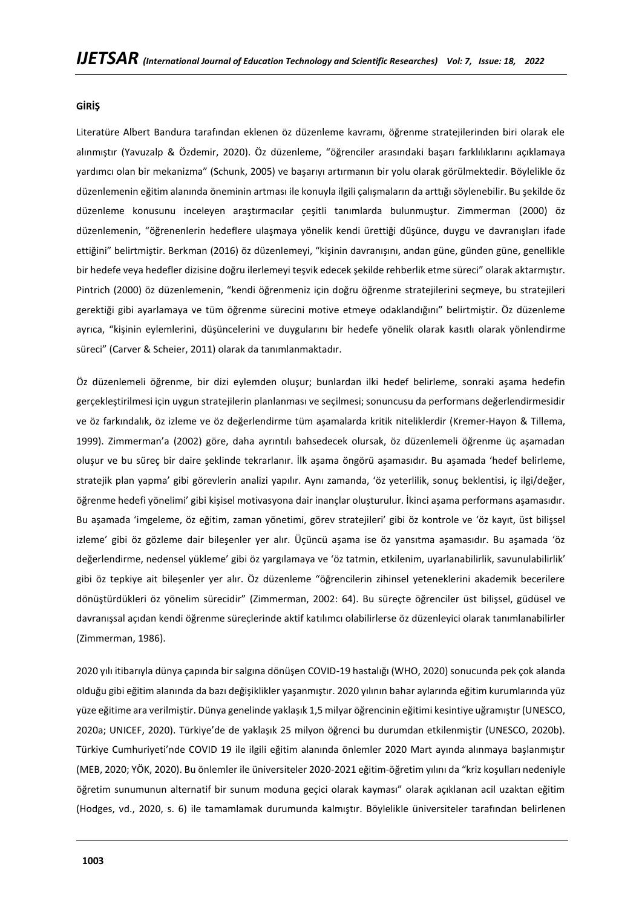### **GİRİŞ**

Literatüre Albert Bandura tarafından eklenen öz düzenleme kavramı, öğrenme stratejilerinden biri olarak ele alınmıştır (Yavuzalp & Özdemir, 2020). Öz düzenleme, "öğrenciler arasındaki başarı farklılıklarını açıklamaya yardımcı olan bir mekanizma" (Schunk, 2005) ve başarıyı artırmanın bir yolu olarak görülmektedir. Böylelikle öz düzenlemenin eğitim alanında öneminin artması ile konuyla ilgili çalışmaların da arttığı söylenebilir. Bu şekilde öz düzenleme konusunu inceleyen araştırmacılar çeşitli tanımlarda bulunmuştur. Zimmerman (2000) öz düzenlemenin, "öğrenenlerin hedeflere ulaşmaya yönelik kendi ürettiği düşünce, duygu ve davranışları ifade ettiğini" belirtmiştir. Berkman (2016) öz düzenlemeyi, "kişinin davranışını, andan güne, günden güne, genellikle bir hedefe veya hedefler dizisine doğru ilerlemeyi teşvik edecek şekilde rehberlik etme süreci" olarak aktarmıştır. Pintrich (2000) öz düzenlemenin, "kendi öğrenmeniz için doğru öğrenme stratejilerini seçmeye, bu stratejileri gerektiği gibi ayarlamaya ve tüm öğrenme sürecini motive etmeye odaklandığını" belirtmiştir. Öz düzenleme ayrıca, "kişinin eylemlerini, düşüncelerini ve duygularını bir hedefe yönelik olarak kasıtlı olarak yönlendirme süreci" (Carver & Scheier, 2011) olarak da tanımlanmaktadır.

Öz düzenlemeli öğrenme, bir dizi eylemden oluşur; bunlardan ilki hedef belirleme, sonraki aşama hedefin gerçekleştirilmesi için uygun stratejilerin planlanması ve seçilmesi; sonuncusu da performans değerlendirmesidir ve öz farkındalık, öz izleme ve öz değerlendirme tüm aşamalarda kritik niteliklerdir (Kremer-Hayon & Tillema, 1999). Zimmerman'a (2002) göre, daha ayrıntılı bahsedecek olursak, öz düzenlemeli öğrenme üç aşamadan oluşur ve bu süreç bir daire şeklinde tekrarlanır. İlk aşama öngörü aşamasıdır. Bu aşamada 'hedef belirleme, stratejik plan yapma' gibi görevlerin analizi yapılır. Aynı zamanda, 'öz yeterlilik, sonuç beklentisi, iç ilgi/değer, öğrenme hedefi yönelimi' gibi kişisel motivasyona dair inançlar oluşturulur. İkinci aşama performans aşamasıdır. Bu aşamada 'imgeleme, öz eğitim, zaman yönetimi, görev stratejileri' gibi öz kontrole ve 'öz kayıt, üst bilişsel izleme' gibi öz gözleme dair bileşenler yer alır. Üçüncü aşama ise öz yansıtma aşamasıdır. Bu aşamada 'öz değerlendirme, nedensel yükleme' gibi öz yargılamaya ve 'öz tatmin, etkilenim, uyarlanabilirlik, savunulabilirlik' gibi öz tepkiye ait bileşenler yer alır. Öz düzenleme "öğrencilerin zihinsel yeteneklerini akademik becerilere dönüştürdükleri öz yönelim sürecidir" (Zimmerman, 2002: 64). Bu süreçte öğrenciler üst bilişsel, güdüsel ve davranışsal açıdan kendi öğrenme süreçlerinde aktif katılımcı olabilirlerse öz düzenleyici olarak tanımlanabilirler (Zimmerman, 1986).

2020 yılı itibarıyla dünya çapında bir salgına dönüşen COVID-19 hastalığı (WHO, 2020) sonucunda pek çok alanda olduğu gibi eğitim alanında da bazı değişiklikler yaşanmıştır. 2020 yılının bahar aylarında eğitim kurumlarında yüz yüze eğitime ara verilmiştir. Dünya genelinde yaklaşık 1,5 milyar öğrencinin eğitimi kesintiye uğramıştır (UNESCO, 2020a; UNICEF, 2020). Türkiye'de de yaklaşık 25 milyon öğrenci bu durumdan etkilenmiştir (UNESCO, 2020b). Türkiye Cumhuriyeti'nde COVID 19 ile ilgili eğitim alanında önlemler 2020 Mart ayında alınmaya başlanmıştır (MEB, 2020; YÖK, 2020). Bu önlemler ile üniversiteler 2020-2021 eğitim-öğretim yılını da "kriz koşulları nedeniyle öğretim sunumunun alternatif bir sunum moduna geçici olarak kayması" olarak açıklanan acil uzaktan eğitim (Hodges, vd., 2020, s. 6) ile tamamlamak durumunda kalmıştır. Böylelikle üniversiteler tarafından belirlenen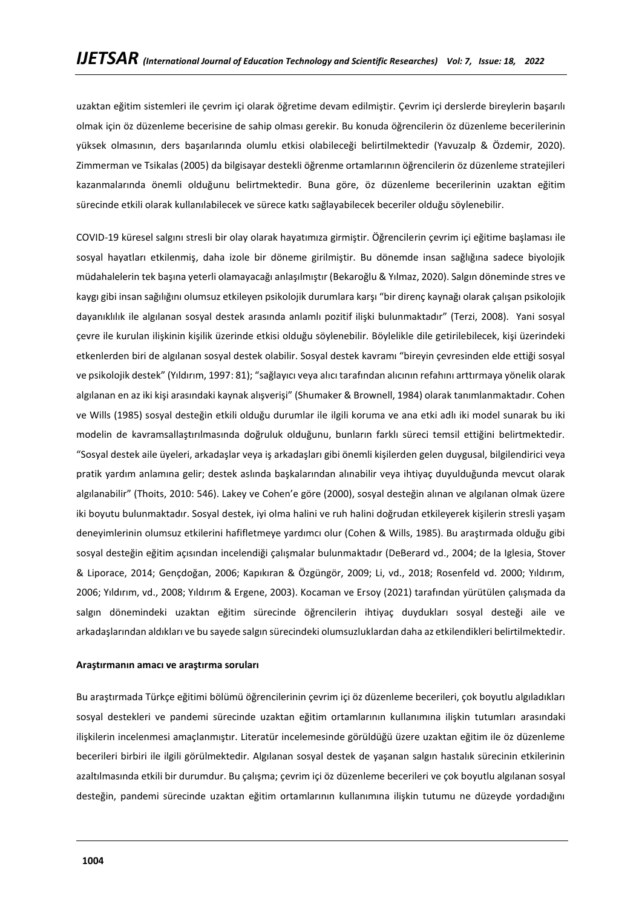uzaktan eğitim sistemleri ile çevrim içi olarak öğretime devam edilmiştir. Çevrim içi derslerde bireylerin başarılı olmak için öz düzenleme becerisine de sahip olması gerekir. Bu konuda öğrencilerin öz düzenleme becerilerinin yüksek olmasının, ders başarılarında olumlu etkisi olabileceği belirtilmektedir (Yavuzalp & Özdemir, 2020). Zimmerman ve Tsikalas (2005) da bilgisayar destekli öğrenme ortamlarının öğrencilerin öz düzenleme stratejileri kazanmalarında önemli olduğunu belirtmektedir. Buna göre, öz düzenleme becerilerinin uzaktan eğitim sürecinde etkili olarak kullanılabilecek ve sürece katkı sağlayabilecek beceriler olduğu söylenebilir.

COVID-19 küresel salgını stresli bir olay olarak hayatımıza girmiştir. Öğrencilerin çevrim içi eğitime başlaması ile sosyal hayatları etkilenmiş, daha izole bir döneme girilmiştir. Bu dönemde insan sağlığına sadece biyolojik müdahalelerin tek başına yeterli olamayacağı anlaşılmıştır (Bekaroğlu & Yılmaz, 2020). Salgın döneminde stres ve kaygı gibi insan sağılığını olumsuz etkileyen psikolojik durumlara karşı "bir direnç kaynağı olarak çalışan psikolojik dayanıklılık ile algılanan sosyal destek arasında anlamlı pozitif ilişki bulunmaktadır" (Terzi, 2008). Yani sosyal çevre ile kurulan ilişkinin kişilik üzerinde etkisi olduğu söylenebilir. Böylelikle dile getirilebilecek, kişi üzerindeki etkenlerden biri de algılanan sosyal destek olabilir. Sosyal destek kavramı "bireyin çevresinden elde ettiği sosyal ve psikolojik destek" (Yıldırım, 1997: 81); "sağlayıcı veya alıcı tarafından alıcının refahını arttırmaya yönelik olarak algılanan en az iki kişi arasındaki kaynak alışverişi" (Shumaker & Brownell, 1984) olarak tanımlanmaktadır. Cohen ve Wills (1985) sosyal desteğin etkili olduğu durumlar ile ilgili koruma ve ana etki adlı iki model sunarak bu iki modelin de kavramsallaştırılmasında doğruluk olduğunu, bunların farklı süreci temsil ettiğini belirtmektedir. "Sosyal destek aile üyeleri, arkadaşlar veya iş arkadaşları gibi önemli kişilerden gelen duygusal, bilgilendirici veya pratik yardım anlamına gelir; destek aslında başkalarından alınabilir veya ihtiyaç duyulduğunda mevcut olarak algılanabilir" (Thoits, 2010: 546). Lakey ve Cohen'e göre (2000), sosyal desteğin alınan ve algılanan olmak üzere iki boyutu bulunmaktadır. Sosyal destek, iyi olma halini ve ruh halini doğrudan etkileyerek kişilerin stresli yaşam deneyimlerinin olumsuz etkilerini hafifletmeye yardımcı olur (Cohen & Wills, 1985). Bu araştırmada olduğu gibi sosyal desteğin eğitim açısından incelendiği çalışmalar bulunmaktadır (DeBerard vd., 2004; de la Iglesia, Stover & Liporace, 2014; Gençdoğan, 2006; Kapıkıran & Özgüngör, 2009; Li, vd., 2018; Rosenfeld vd. 2000; Yıldırım, 2006; Yıldırım, vd., 2008; Yıldırım & Ergene, 2003). Kocaman ve Ersoy (2021) tarafından yürütülen çalışmada da salgın dönemindeki uzaktan eğitim sürecinde öğrencilerin ihtiyaç duydukları sosyal desteği aile ve arkadaşlarından aldıkları ve bu sayede salgın sürecindeki olumsuzluklardan daha az etkilendikleri belirtilmektedir.

### **Araştırmanın amacı ve araştırma soruları**

Bu araştırmada Türkçe eğitimi bölümü öğrencilerinin çevrim içi öz düzenleme becerileri, çok boyutlu algıladıkları sosyal destekleri ve pandemi sürecinde uzaktan eğitim ortamlarının kullanımına ilişkin tutumları arasındaki ilişkilerin incelenmesi amaçlanmıştır. Literatür incelemesinde görüldüğü üzere uzaktan eğitim ile öz düzenleme becerileri birbiri ile ilgili görülmektedir. Algılanan sosyal destek de yaşanan salgın hastalık sürecinin etkilerinin azaltılmasında etkili bir durumdur. Bu çalışma; çevrim içi öz düzenleme becerileri ve çok boyutlu algılanan sosyal desteğin, pandemi sürecinde uzaktan eğitim ortamlarının kullanımına ilişkin tutumu ne düzeyde yordadığını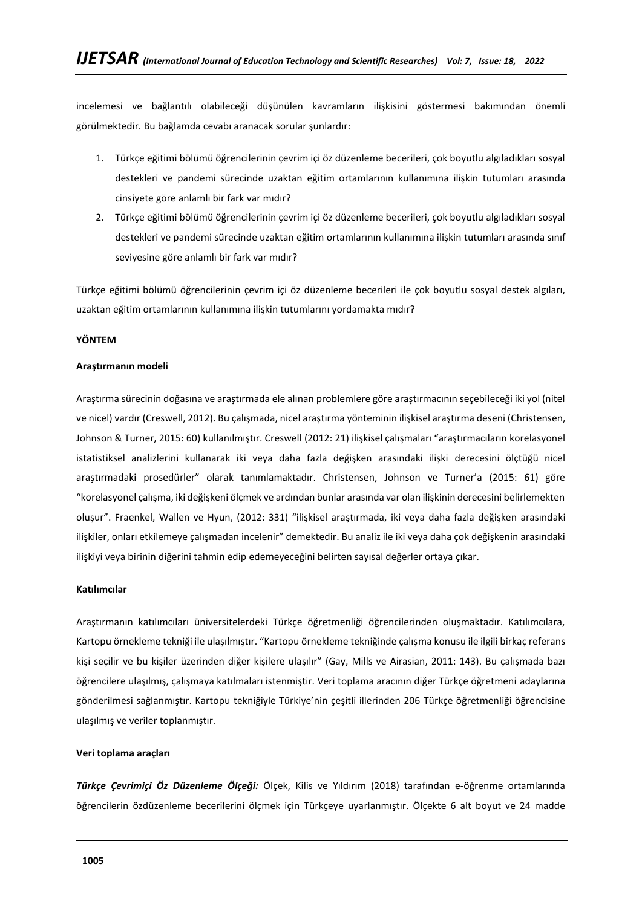incelemesi ve bağlantılı olabileceği düşünülen kavramların ilişkisini göstermesi bakımından önemli görülmektedir. Bu bağlamda cevabı aranacak sorular şunlardır:

- 1. Türkçe eğitimi bölümü öğrencilerinin çevrim içi öz düzenleme becerileri, çok boyutlu algıladıkları sosyal destekleri ve pandemi sürecinde uzaktan eğitim ortamlarının kullanımına ilişkin tutumları arasında cinsiyete göre anlamlı bir fark var mıdır?
- 2. Türkçe eğitimi bölümü öğrencilerinin çevrim içi öz düzenleme becerileri, çok boyutlu algıladıkları sosyal destekleri ve pandemi sürecinde uzaktan eğitim ortamlarının kullanımına ilişkin tutumları arasında sınıf seviyesine göre anlamlı bir fark var mıdır?

Türkçe eğitimi bölümü öğrencilerinin çevrim içi öz düzenleme becerileri ile çok boyutlu sosyal destek algıları, uzaktan eğitim ortamlarının kullanımına ilişkin tutumlarını yordamakta mıdır?

### **YÖNTEM**

### **Araştırmanın modeli**

Araştırma sürecinin doğasına ve araştırmada ele alınan problemlere göre araştırmacının seçebileceği iki yol (nitel ve nicel) vardır (Creswell, 2012). Bu çalışmada, nicel araştırma yönteminin ilişkisel araştırma deseni (Christensen, Johnson & Turner, 2015: 60) kullanılmıştır. Creswell (2012: 21) ilişkisel çalışmaları "araştırmacıların korelasyonel istatistiksel analizlerini kullanarak iki veya daha fazla değişken arasındaki ilişki derecesini ölçtüğü nicel araştırmadaki prosedürler" olarak tanımlamaktadır. Christensen, Johnson ve Turner'a (2015: 61) göre "korelasyonel çalışma, iki değişkeni ölçmek ve ardından bunlar arasında var olan ilişkinin derecesini belirlemekten oluşur". Fraenkel, Wallen ve Hyun, (2012: 331) "ilişkisel araştırmada, iki veya daha fazla değişken arasındaki ilişkiler, onları etkilemeye çalışmadan incelenir" demektedir. Bu analiz ile iki veya daha çok değişkenin arasındaki ilişkiyi veya birinin diğerini tahmin edip edemeyeceğini belirten sayısal değerler ortaya çıkar.

### **Katılımcılar**

Araştırmanın katılımcıları üniversitelerdeki Türkçe öğretmenliği öğrencilerinden oluşmaktadır. Katılımcılara, Kartopu örnekleme tekniği ile ulaşılmıştır. "Kartopu örnekleme tekniğinde çalışma konusu ile ilgili birkaç referans kişi seçilir ve bu kişiler üzerinden diğer kişilere ulaşılır" (Gay, Mills ve Airasian, 2011: 143). Bu çalışmada bazı öğrencilere ulaşılmış, çalışmaya katılmaları istenmiştir. Veri toplama aracının diğer Türkçe öğretmeni adaylarına gönderilmesi sağlanmıştır. Kartopu tekniğiyle Türkiye'nin çeşitli illerinden 206 Türkçe öğretmenliği öğrencisine ulaşılmış ve veriler toplanmıştır.

### **Veri toplama araçları**

*Türkçe Çevrimiçi Öz Düzenleme Ölçeği:* Ölçek, Kilis ve Yıldırım (2018) tarafından e-öğrenme ortamlarında öğrencilerin özdüzenleme becerilerini ölçmek için Türkçeye uyarlanmıştır. Ölçekte 6 alt boyut ve 24 madde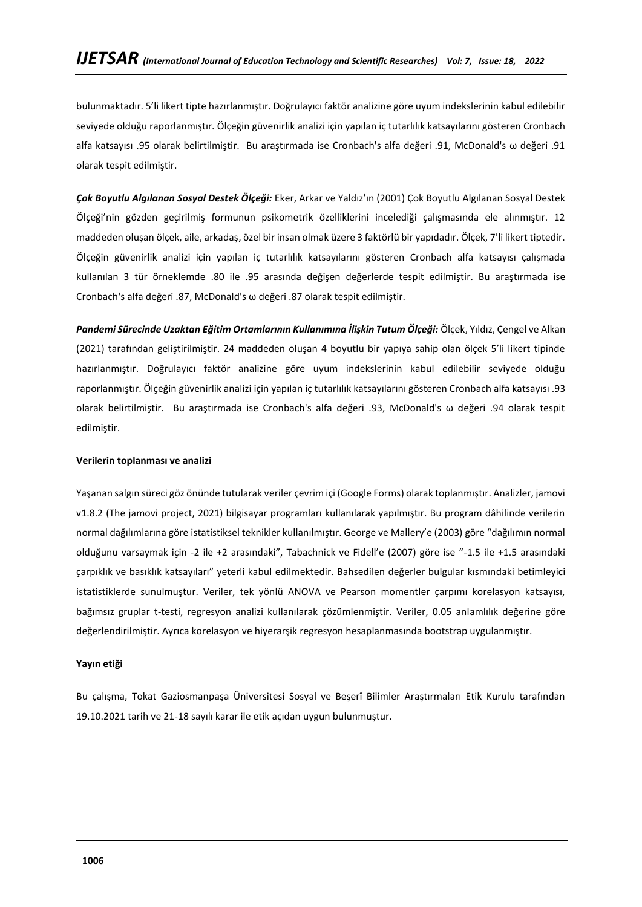bulunmaktadır. 5'li likert tipte hazırlanmıştır. Doğrulayıcı faktör analizine göre uyum indekslerinin kabul edilebilir seviyede olduğu raporlanmıştır. Ölçeğin güvenirlik analizi için yapılan iç tutarlılık katsayılarını gösteren Cronbach alfa katsayısı .95 olarak belirtilmiştir. Bu araştırmada ise Cronbach's alfa değeri .91, McDonald's ω değeri .91 olarak tespit edilmiştir.

*Çok Boyutlu Algılanan Sosyal Destek Ölçeği:* Eker, Arkar ve Yaldız'ın (2001) Çok Boyutlu Algılanan Sosyal Destek Ölçeği'nin gözden geçirilmiş formunun psikometrik özelliklerini incelediği çalışmasında ele alınmıştır. 12 maddeden oluşan ölçek, aile, arkadaş, özel bir insan olmak üzere 3 faktörlü bir yapıdadır. Ölçek, 7'li likert tiptedir. Ölçeğin güvenirlik analizi için yapılan iç tutarlılık katsayılarını gösteren Cronbach alfa katsayısı çalışmada kullanılan 3 tür örneklemde .80 ile .95 arasında değişen değerlerde tespit edilmiştir. Bu araştırmada ise Cronbach's alfa değeri .87, McDonald's ω değeri .87 olarak tespit edilmiştir.

*Pandemi Sürecinde Uzaktan Eğitim Ortamlarının Kullanımına İlişkin Tutum Ölçeği:* Ölçek, Yıldız, Çengel ve Alkan (2021) tarafından geliştirilmiştir. 24 maddeden oluşan 4 boyutlu bir yapıya sahip olan ölçek 5'li likert tipinde hazırlanmıştır. Doğrulayıcı faktör analizine göre uyum indekslerinin kabul edilebilir seviyede olduğu raporlanmıştır. Ölçeğin güvenirlik analizi için yapılan iç tutarlılık katsayılarını gösteren Cronbach alfa katsayısı .93 olarak belirtilmiştir. Bu araştırmada ise Cronbach's alfa değeri .93, McDonald's ω değeri .94 olarak tespit edilmiştir.

### **Verilerin toplanması ve analizi**

Yaşanan salgın süreci göz önünde tutularak veriler çevrim içi (Google Forms) olarak toplanmıştır. Analizler, jamovi v1.8.2 (The jamovi project, 2021) bilgisayar programları kullanılarak yapılmıştır. Bu program dâhilinde verilerin normal dağılımlarına göre istatistiksel teknikler kullanılmıştır. George ve Mallery'e (2003) göre "dağılımın normal olduğunu varsaymak için -2 ile +2 arasındaki", Tabachnick ve Fidell'e (2007) göre ise "-1.5 ile +1.5 arasındaki çarpıklık ve basıklık katsayıları" yeterli kabul edilmektedir. Bahsedilen değerler bulgular kısmındaki betimleyici istatistiklerde sunulmuştur. Veriler, tek yönlü ANOVA ve Pearson momentler çarpımı korelasyon katsayısı, bağımsız gruplar t-testi, regresyon analizi kullanılarak çözümlenmiştir. Veriler, 0.05 anlamlılık değerine göre değerlendirilmiştir. Ayrıca korelasyon ve hiyerarşik regresyon hesaplanmasında bootstrap uygulanmıştır.

### **Yayın etiği**

Bu çalışma, Tokat Gaziosmanpaşa Üniversitesi Sosyal ve Beşerî Bilimler Araştırmaları Etik Kurulu tarafından 19.10.2021 tarih ve 21-18 sayılı karar ile etik açıdan uygun bulunmuştur.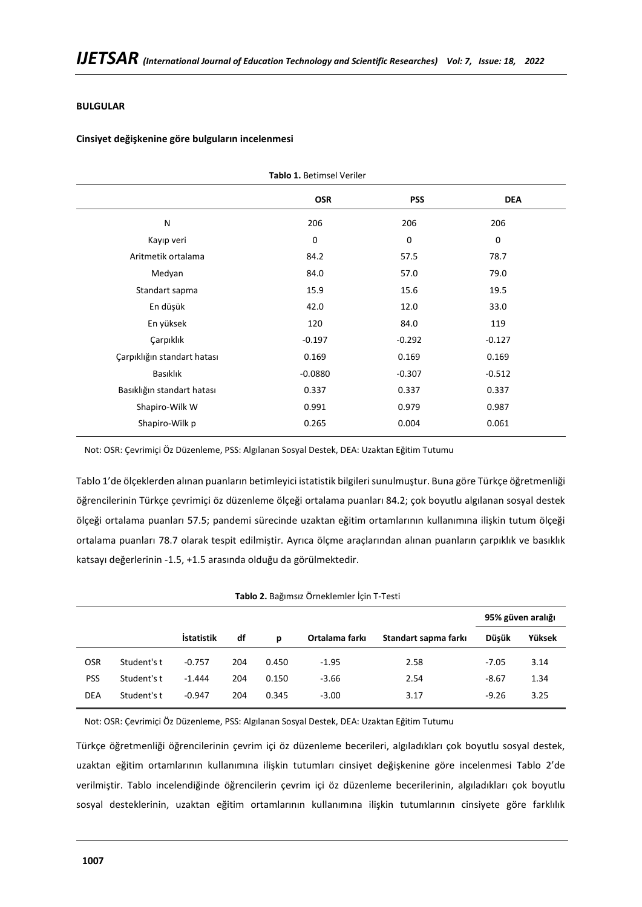### **BULGULAR**

### **Cinsiyet değişkenine göre bulguların incelenmesi**

| Tablo 1. Betimsel Veriler   |            |             |            |  |  |  |  |
|-----------------------------|------------|-------------|------------|--|--|--|--|
|                             | <b>OSR</b> | <b>PSS</b>  | <b>DEA</b> |  |  |  |  |
| N                           | 206        | 206         | 206        |  |  |  |  |
| Kayıp veri                  | 0          | $\mathbf 0$ | 0          |  |  |  |  |
| Aritmetik ortalama          | 84.2       | 57.5        | 78.7       |  |  |  |  |
| Medyan                      | 84.0       | 57.0        | 79.0       |  |  |  |  |
| Standart sapma              | 15.9       | 15.6        | 19.5       |  |  |  |  |
| En düşük                    | 42.0       | 12.0        | 33.0       |  |  |  |  |
| En yüksek                   | 120        | 84.0        | 119        |  |  |  |  |
| Çarpıklık                   | $-0.197$   | $-0.292$    | $-0.127$   |  |  |  |  |
| Çarpıklığın standart hatası | 0.169      | 0.169       | 0.169      |  |  |  |  |
| Basıklık                    | $-0.0880$  | $-0.307$    | $-0.512$   |  |  |  |  |
| Basıklığın standart hatası  | 0.337      | 0.337       | 0.337      |  |  |  |  |
| Shapiro-Wilk W              | 0.991      | 0.979       | 0.987      |  |  |  |  |
| Shapiro-Wilk p              | 0.265      | 0.004       | 0.061      |  |  |  |  |
|                             |            |             |            |  |  |  |  |

Not: OSR: Çevrimiçi Öz Düzenleme, PSS: Algılanan Sosyal Destek, DEA: Uzaktan Eğitim Tutumu

Tablo 1'de ölçeklerden alınan puanların betimleyici istatistik bilgileri sunulmuştur. Buna göre Türkçe öğretmenliği öğrencilerinin Türkçe çevrimiçi öz düzenleme ölçeği ortalama puanları 84.2; çok boyutlu algılanan sosyal destek ölçeği ortalama puanları 57.5; pandemi sürecinde uzaktan eğitim ortamlarının kullanımına ilişkin tutum ölçeği ortalama puanları 78.7 olarak tespit edilmiştir. Ayrıca ölçme araçlarından alınan puanların çarpıklık ve basıklık katsayı değerlerinin -1.5, +1.5 arasında olduğu da görülmektedir.

|            |             |                   |     |       |                |                      |         | 95% güven aralığı |
|------------|-------------|-------------------|-----|-------|----------------|----------------------|---------|-------------------|
|            |             | <b>İstatistik</b> | df  | p     | Ortalama farkı | Standart sapma farkı | Düsük   | Yüksek            |
| <b>OSR</b> | Student's t | $-0.757$          | 204 | 0.450 | $-1.95$        | 2.58                 | $-7.05$ | 3.14              |
| PSS        | Student's t | $-1.444$          | 204 | 0.150 | $-3.66$        | 2.54                 | $-8.67$ | 1.34              |
| <b>DEA</b> | Student's t | $-0.947$          | 204 | 0.345 | $-3.00$        | 3.17                 | $-9.26$ | 3.25              |

Not: OSR: Çevrimiçi Öz Düzenleme, PSS: Algılanan Sosyal Destek, DEA: Uzaktan Eğitim Tutumu

Türkçe öğretmenliği öğrencilerinin çevrim içi öz düzenleme becerileri, algıladıkları çok boyutlu sosyal destek, uzaktan eğitim ortamlarının kullanımına ilişkin tutumları cinsiyet değişkenine göre incelenmesi Tablo 2'de verilmiştir. Tablo incelendiğinde öğrencilerin çevrim içi öz düzenleme becerilerinin, algıladıkları çok boyutlu sosyal desteklerinin, uzaktan eğitim ortamlarının kullanımına ilişkin tutumlarının cinsiyete göre farklılık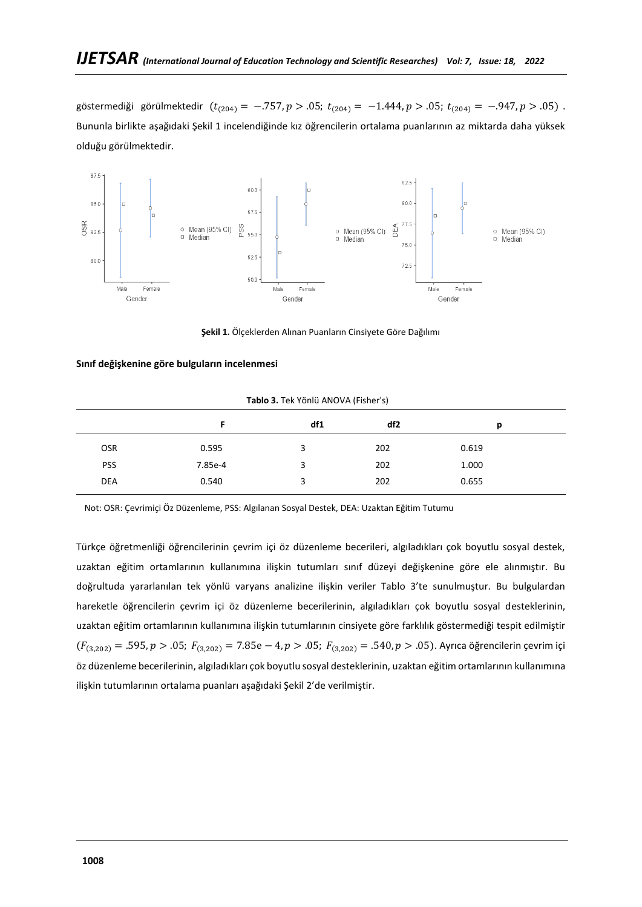göstermediği görülmektedir ( $t_{(204)} = -.757$ ,  $p > .05$ ;  $t_{(204)} = -1.444$ ,  $p > .05$ ;  $t_{(204)} = -.947$ ,  $p > .05$ ). Bununla birlikte aşağıdaki Şekil 1 incelendiğinde kız öğrencilerin ortalama puanlarının az miktarda daha yüksek olduğu görülmektedir.



**Şekil 1.** Ölçeklerden Alınan Puanların Cinsiyete Göre Dağılımı

### **Sınıf değişkenine göre bulguların incelenmesi**

|            | Tablo 3. Tek Yönlü ANOVA (Fisher's) |     |     |       |  |  |  |  |  |
|------------|-------------------------------------|-----|-----|-------|--|--|--|--|--|
|            |                                     | df1 | df2 | р     |  |  |  |  |  |
| <b>OSR</b> | 0.595                               | 3   | 202 | 0.619 |  |  |  |  |  |
| <b>PSS</b> | 7.85e-4                             | 3   | 202 | 1.000 |  |  |  |  |  |
| <b>DEA</b> | 0.540                               | 3   | 202 | 0.655 |  |  |  |  |  |
|            |                                     |     |     |       |  |  |  |  |  |

Not: OSR: Çevrimiçi Öz Düzenleme, PSS: Algılanan Sosyal Destek, DEA: Uzaktan Eğitim Tutumu

Türkçe öğretmenliği öğrencilerinin çevrim içi öz düzenleme becerileri, algıladıkları çok boyutlu sosyal destek, uzaktan eğitim ortamlarının kullanımına ilişkin tutumları sınıf düzeyi değişkenine göre ele alınmıştır. Bu doğrultuda yararlanılan tek yönlü varyans analizine ilişkin veriler Tablo 3'te sunulmuştur. Bu bulgulardan hareketle öğrencilerin çevrim içi öz düzenleme becerilerinin, algıladıkları çok boyutlu sosyal desteklerinin, uzaktan eğitim ortamlarının kullanımına ilişkin tutumlarının cinsiyete göre farklılık göstermediği tespit edilmiştir  $(F_{(3,202)} = .595, p > .05; F_{(3,202)} = 7.85e - 4, p > .05; F_{(3,202)} = .540, p > .05$ ). Ayrıca öğrencilerin çevrim içi öz düzenleme becerilerinin, algıladıkları çok boyutlu sosyal desteklerinin, uzaktan eğitim ortamlarının kullanımına ilişkin tutumlarının ortalama puanları aşağıdaki Şekil 2'de verilmiştir.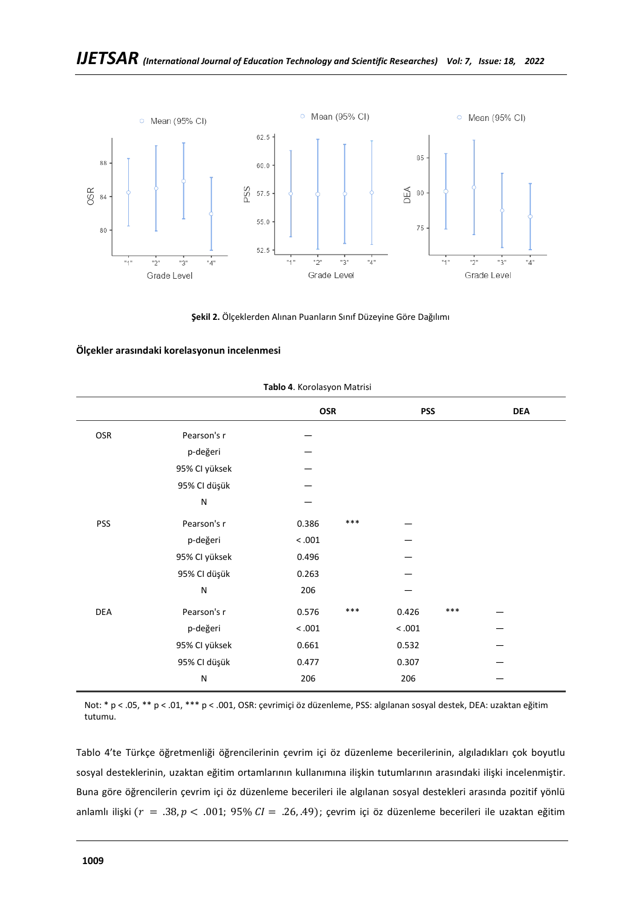

**Şekil 2.** Ölçeklerden Alınan Puanların Sınıf Düzeyine Göre Dağılımı

### **Ölçekler arasındaki korelasyonun incelenmesi**

|            |               | <b>OSR</b> |       | <b>PSS</b> |       | <b>DEA</b> |  |
|------------|---------------|------------|-------|------------|-------|------------|--|
| OSR        | Pearson's r   |            |       |            |       |            |  |
|            | p-değeri      |            |       |            |       |            |  |
|            | 95% CI yüksek |            |       |            |       |            |  |
|            | 95% CI düşük  |            |       |            |       |            |  |
|            | ${\sf N}$     |            |       |            |       |            |  |
| <b>PSS</b> | Pearson's r   | 0.386      | ***   |            |       |            |  |
|            | p-değeri      | < .001     |       |            |       |            |  |
|            | 95% CI yüksek | 0.496      |       |            |       |            |  |
|            | 95% CI düşük  | 0.263      |       |            |       |            |  |
|            | ${\sf N}$     | 206        |       |            |       |            |  |
| <b>DEA</b> | Pearson's r   | 0.576      | $***$ | 0.426      | $***$ |            |  |
|            | p-değeri      | < .001     |       | < .001     |       |            |  |
|            | 95% CI yüksek | 0.661      |       | 0.532      |       |            |  |
|            | 95% CI düşük  | 0.477      |       | 0.307      |       |            |  |
|            | $\mathsf{N}$  | 206        |       | 206        |       |            |  |
|            |               |            |       |            |       |            |  |

#### **Tablo 4**. Korolasyon Matrisi

Not: \* p < .05, \*\* p < .01, \*\*\* p < .001, OSR: çevrimiçi öz düzenleme, PSS: algılanan sosyal destek, DEA: uzaktan eğitim tutumu.

Tablo 4'te Türkçe öğretmenliği öğrencilerinin çevrim içi öz düzenleme becerilerinin, algıladıkları çok boyutlu sosyal desteklerinin, uzaktan eğitim ortamlarının kullanımına ilişkin tutumlarının arasındaki ilişki incelenmiştir. Buna göre öğrencilerin çevrim içi öz düzenleme becerileri ile algılanan sosyal destekleri arasında pozitif yönlü anlamlı ilişki ( $r = .38, p < .001; 95\% CI = .26, .49$ ); çevrim içi öz düzenleme becerileri ile uzaktan eğitim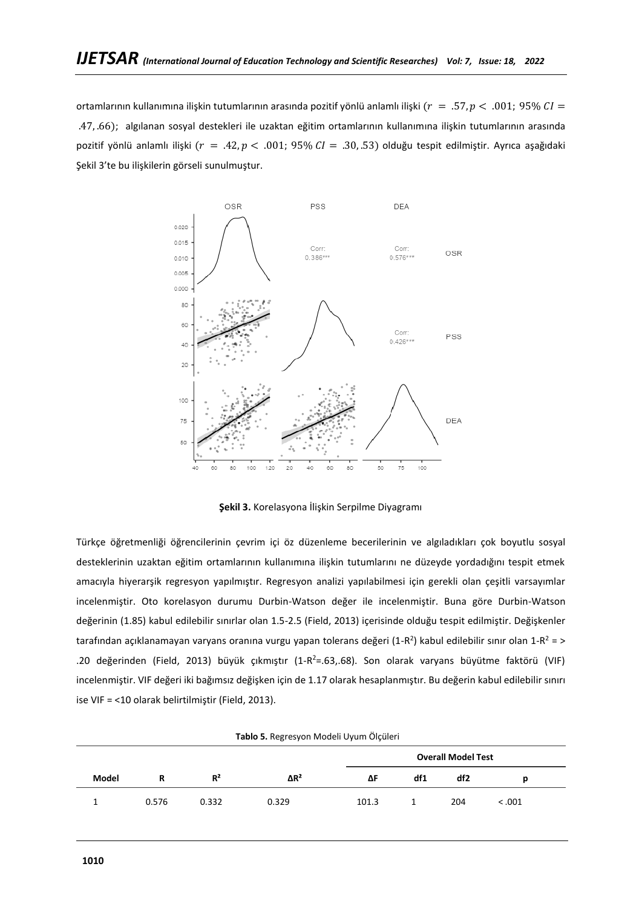ortamlarının kullanımına ilişkin tutumlarının arasında pozitif yönlü anlamlı ilişki ( $r = .57$ ,  $p < .001$ ; 95%  $CI =$ .47, .66); algılanan sosyal destekleri ile uzaktan eğitim ortamlarının kullanımına ilişkin tutumlarının arasında pozitif yönlü anlamlı ilişki ( $r = .42$ ,  $p < .001$ ; 95%  $CI = .30$ , 53) olduğu tespit edilmiştir. Ayrıca aşağıdaki Şekil 3'te bu ilişkilerin görseli sunulmuştur.



**Şekil 3.** Korelasyona İlişkin Serpilme Diyagramı

Türkçe öğretmenliği öğrencilerinin çevrim içi öz düzenleme becerilerinin ve algıladıkları çok boyutlu sosyal desteklerinin uzaktan eğitim ortamlarının kullanımına ilişkin tutumlarını ne düzeyde yordadığını tespit etmek amacıyla hiyerarşik regresyon yapılmıştır. Regresyon analizi yapılabilmesi için gerekli olan çeşitli varsayımlar incelenmiştir. Oto korelasyon durumu Durbin-Watson değer ile incelenmiştir. Buna göre Durbin-Watson değerinin (1.85) kabul edilebilir sınırlar olan 1.5-2.5 (Field, 2013) içerisinde olduğu tespit edilmiştir. Değişkenler tarafından açıklanamayan varyans oranına vurgu yapan tolerans değeri (1-R<sup>2</sup>) kabul edilebilir sınır olan 1-R<sup>2</sup> = > .20 değerinden (Field, 2013) büyük çıkmıştır (1-R <sup>2</sup>=.63,.68). Son olarak varyans büyütme faktörü (VIF) incelenmiştir. VIF değeri iki bağımsız değişken için de 1.17 olarak hesaplanmıştır. Bu değerin kabul edilebilir sınırı ise VIF = <10 olarak belirtilmiştir (Field, 2013).

|                           | Tablo 5. Regresyon Modeli Uyum Ölçüleri |       |                         |       |     |     |        |  |  |  |
|---------------------------|-----------------------------------------|-------|-------------------------|-------|-----|-----|--------|--|--|--|
| <b>Overall Model Test</b> |                                         |       |                         |       |     |     |        |  |  |  |
| Model                     | R                                       | $R^2$ | $\Delta$ R <sup>2</sup> | ΔF    | df1 | df2 | р      |  |  |  |
|                           | 0.576                                   | 0.332 | 0.329                   | 101.3 |     | 204 | < .001 |  |  |  |

|  | Tablo 5. Regresyon Modeli Uyum Ölçüler |  |  |  |
|--|----------------------------------------|--|--|--|
|--|----------------------------------------|--|--|--|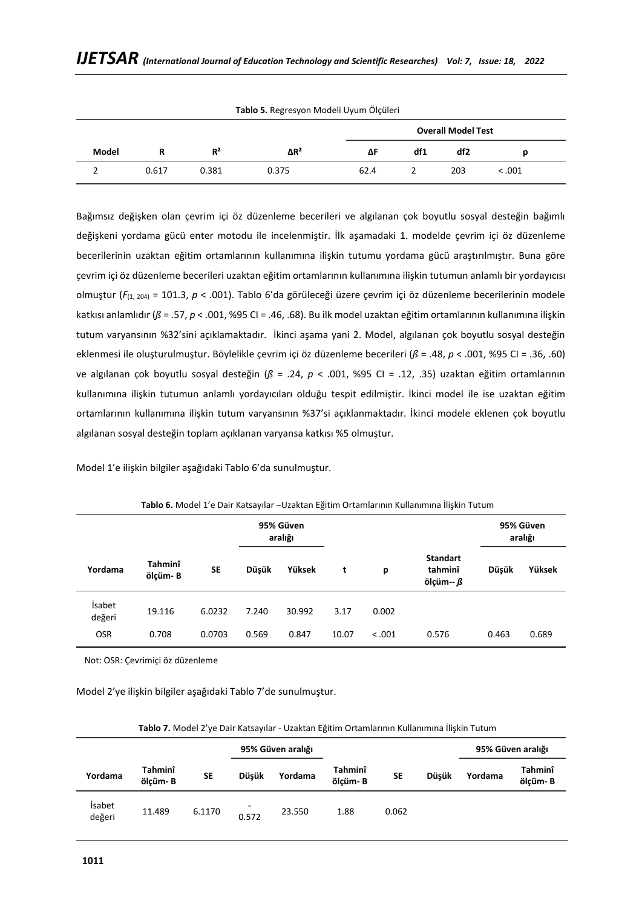| <b>Tablo 5.</b> Regresyon Modell Oyum Olçuleri<br><b>Overall Model Test</b> |       |       |                         |      |     |     |         |  |
|-----------------------------------------------------------------------------|-------|-------|-------------------------|------|-----|-----|---------|--|
| Model                                                                       |       | $R^2$ | $\Delta$ R <sup>2</sup> | ΔF   | df1 | df2 |         |  |
|                                                                             | 0.617 | 0.381 | 0.375                   | 62.4 |     | 203 | < 0.001 |  |

**Tablo 5.** Regresyon Modeli Uyum Ölçüleri

Bağımsız değişken olan çevrim içi öz düzenleme becerileri ve algılanan çok boyutlu sosyal desteğin bağımlı değişkeni yordama gücü enter motodu ile incelenmiştir. İlk aşamadaki 1. modelde çevrim içi öz düzenleme becerilerinin uzaktan eğitim ortamlarının kullanımına ilişkin tutumu yordama gücü araştırılmıştır. Buna göre çevrim içi öz düzenleme becerileri uzaktan eğitim ortamlarının kullanımına ilişkin tutumun anlamlı bir yordayıcısı olmuştur (*F*(1, 204) = 101.3, *p* < .001). Tablo 6'da görüleceği üzere çevrim içi öz düzenleme becerilerinin modele katkısı anlamlıdır (*ß* = .57, *p* < .001, %95 CI = .46, .68). Bu ilk model uzaktan eğitim ortamlarının kullanımına ilişkin tutum varyansının %32'sini açıklamaktadır. İkinci aşama yani 2. Model, algılanan çok boyutlu sosyal desteğin eklenmesi ile oluşturulmuştur. Böylelikle çevrim içi öz düzenleme becerileri (*ß* = .48, *p* < .001, %95 CI = .36, .60) ve algılanan çok boyutlu sosyal desteğin (*ß* = .24, *p* < .001, %95 CI = .12, .35) uzaktan eğitim ortamlarının kullanımına ilişkin tutumun anlamlı yordayıcıları olduğu tespit edilmiştir. İkinci model ile ise uzaktan eğitim ortamlarının kullanımına ilişkin tutum varyansının %37'si açıklanmaktadır. İkinci modele eklenen çok boyutlu algılanan sosyal desteğin toplam açıklanan varyansa katkısı %5 olmuştur.

Model 1'e ilişkin bilgiler aşağıdaki Tablo 6'da sunulmuştur.

|                         |                    |           | 95% Güven<br>aralığı |        |       |         |                                         | 95% Güven<br>aralığı |        |
|-------------------------|--------------------|-----------|----------------------|--------|-------|---------|-----------------------------------------|----------------------|--------|
| Yordama                 | Tahminî<br>ölcüm-B | <b>SE</b> | Düşük                | Yüksek | t     | p       | <b>Standart</b><br>tahminî<br>ölçüm-- ß | Düşük                | Yüksek |
| <b>isabet</b><br>değeri | 19.116             | 6.0232    | 7.240                | 30.992 | 3.17  | 0.002   |                                         |                      |        |
| <b>OSR</b>              | 0.708              | 0.0703    | 0.569                | 0.847  | 10.07 | < 0.001 | 0.576                                   | 0.463                | 0.689  |

#### **Tablo 6.** Model 1'e Dair Katsayılar –Uzaktan Eğitim Ortamlarının Kullanımına İlişkin Tutum

Not: OSR: Çevrimiçi öz düzenleme

Model 2'ye ilişkin bilgiler aşağıdaki Tablo 7'de sunulmuştur.

|                         | <b>Table 7:</b> Model 2 ye Dair Katsaynar - Ozaktarı eşitimi Ortamianının Kananınınla məkin Tatamı |        |                   |         |                    |           |              |         |                    |  |
|-------------------------|----------------------------------------------------------------------------------------------------|--------|-------------------|---------|--------------------|-----------|--------------|---------|--------------------|--|
|                         |                                                                                                    |        | 95% Güven aralığı |         |                    |           |              |         | 95% Güven aralığı  |  |
| Yordama                 | Tahminî<br>ölcüm-B                                                                                 | SE     | <b>Düsük</b>      | Yordama | Tahminî<br>ölcüm-B | <b>SE</b> | <b>Düsük</b> | Yordama | Tahminî<br>ölcüm-B |  |
| <b>isabet</b><br>değeri | 11.489                                                                                             | 6.1170 | 0.572             | 23.550  | 1.88               | 0.062     |              |         |                    |  |

| Tablo 7. Model 2'ye Dair Katsayılar - Uzaktan Eğitim Ortamlarının Kullanımına İlişkin Tutum |  |  |
|---------------------------------------------------------------------------------------------|--|--|
|---------------------------------------------------------------------------------------------|--|--|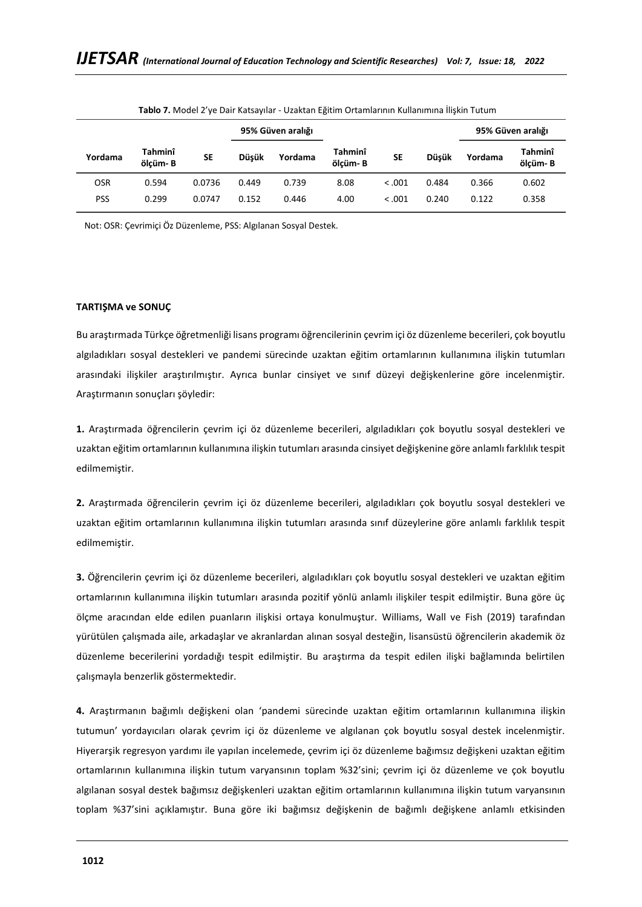|            |                     |        |              | 95% Güven aralığı |                     |           |              |         | 95% Güven aralığı   |
|------------|---------------------|--------|--------------|-------------------|---------------------|-----------|--------------|---------|---------------------|
| Yordama    | Tahminî<br>ölcüm- B | SE     | <b>Düsük</b> | Yordama           | Tahminî<br>ölcüm- B | <b>SE</b> | <b>Düsük</b> | Yordama | Tahminî<br>ölçüm- B |
| <b>OSR</b> | 0.594               | 0.0736 | 0.449        | 0.739             | 8.08                | < 0.001   | 0.484        | 0.366   | 0.602               |
| <b>PSS</b> | 0.299               | 0.0747 | 0.152        | 0.446             | 4.00                | < 0.001   | 0.240        | 0.122   | 0.358               |

**Tablo 7.** Model 2'ye Dair Katsayılar - Uzaktan Eğitim Ortamlarının Kullanımına İlişkin Tutum

Not: OSR: Çevrimiçi Öz Düzenleme, PSS: Algılanan Sosyal Destek.

### **TARTIŞMA ve SONUÇ**

Bu araştırmada Türkçe öğretmenliği lisans programı öğrencilerinin çevrim içi öz düzenleme becerileri, çok boyutlu algıladıkları sosyal destekleri ve pandemi sürecinde uzaktan eğitim ortamlarının kullanımına ilişkin tutumları arasındaki ilişkiler araştırılmıştır. Ayrıca bunlar cinsiyet ve sınıf düzeyi değişkenlerine göre incelenmiştir. Araştırmanın sonuçları şöyledir:

**1.** Araştırmada öğrencilerin çevrim içi öz düzenleme becerileri, algıladıkları çok boyutlu sosyal destekleri ve uzaktan eğitim ortamlarının kullanımına ilişkin tutumları arasında cinsiyet değişkenine göre anlamlı farklılık tespit edilmemiştir.

**2.** Araştırmada öğrencilerin çevrim içi öz düzenleme becerileri, algıladıkları çok boyutlu sosyal destekleri ve uzaktan eğitim ortamlarının kullanımına ilişkin tutumları arasında sınıf düzeylerine göre anlamlı farklılık tespit edilmemiştir.

**3.** Öğrencilerin çevrim içi öz düzenleme becerileri, algıladıkları çok boyutlu sosyal destekleri ve uzaktan eğitim ortamlarının kullanımına ilişkin tutumları arasında pozitif yönlü anlamlı ilişkiler tespit edilmiştir. Buna göre üç ölçme aracından elde edilen puanların ilişkisi ortaya konulmuştur. Williams, Wall ve Fish (2019) tarafından yürütülen çalışmada aile, arkadaşlar ve akranlardan alınan sosyal desteğin, lisansüstü öğrencilerin akademik öz düzenleme becerilerini yordadığı tespit edilmiştir. Bu araştırma da tespit edilen ilişki bağlamında belirtilen çalışmayla benzerlik göstermektedir.

**4.** Araştırmanın bağımlı değişkeni olan 'pandemi sürecinde uzaktan eğitim ortamlarının kullanımına ilişkin tutumun' yordayıcıları olarak çevrim içi öz düzenleme ve algılanan çok boyutlu sosyal destek incelenmiştir. Hiyerarşik regresyon yardımı ile yapılan incelemede, çevrim içi öz düzenleme bağımsız değişkeni uzaktan eğitim ortamlarının kullanımına ilişkin tutum varyansının toplam %32'sini; çevrim içi öz düzenleme ve çok boyutlu algılanan sosyal destek bağımsız değişkenleri uzaktan eğitim ortamlarının kullanımına ilişkin tutum varyansının toplam %37'sini açıklamıştır. Buna göre iki bağımsız değişkenin de bağımlı değişkene anlamlı etkisinden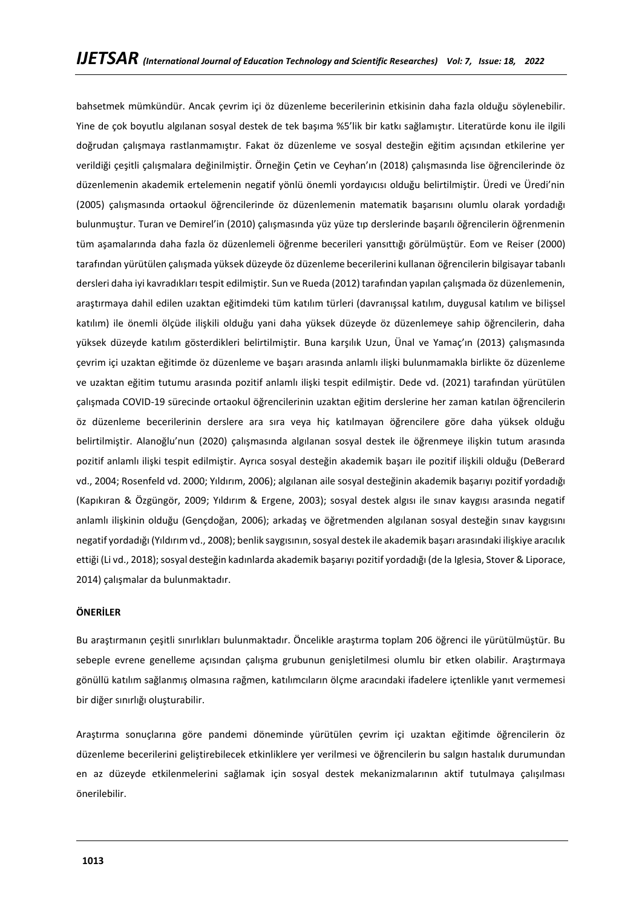bahsetmek mümkündür. Ancak çevrim içi öz düzenleme becerilerinin etkisinin daha fazla olduğu söylenebilir. Yine de çok boyutlu algılanan sosyal destek de tek başıma %5'lik bir katkı sağlamıştır. Literatürde konu ile ilgili doğrudan çalışmaya rastlanmamıştır. Fakat öz düzenleme ve sosyal desteğin eğitim açısından etkilerine yer verildiği çeşitli çalışmalara değinilmiştir. Örneğin Çetin ve Ceyhan'ın (2018) çalışmasında lise öğrencilerinde öz düzenlemenin akademik ertelemenin negatif yönlü önemli yordayıcısı olduğu belirtilmiştir. Üredi ve Üredi'nin (2005) çalışmasında ortaokul öğrencilerinde öz düzenlemenin matematik başarısını olumlu olarak yordadığı bulunmuştur. Turan ve Demirel'in (2010) çalışmasında yüz yüze tıp derslerinde başarılı öğrencilerin öğrenmenin tüm aşamalarında daha fazla öz düzenlemeli öğrenme becerileri yansıttığı görülmüştür. Eom ve Reiser (2000) tarafından yürütülen çalışmada yüksek düzeyde öz düzenleme becerilerini kullanan öğrencilerin bilgisayar tabanlı dersleri daha iyi kavradıkları tespit edilmiştir. Sun ve Rueda (2012) tarafından yapılan çalışmada öz düzenlemenin, araştırmaya dahil edilen uzaktan eğitimdeki tüm katılım türleri (davranışsal katılım, duygusal katılım ve bilişsel katılım) ile önemli ölçüde ilişkili olduğu yani daha yüksek düzeyde öz düzenlemeye sahip öğrencilerin, daha yüksek düzeyde katılım gösterdikleri belirtilmiştir. Buna karşılık Uzun, Ünal ve Yamaç'ın (2013) çalışmasında çevrim içi uzaktan eğitimde öz düzenleme ve başarı arasında anlamlı ilişki bulunmamakla birlikte öz düzenleme ve uzaktan eğitim tutumu arasında pozitif anlamlı ilişki tespit edilmiştir. Dede vd. (2021) tarafından yürütülen çalışmada COVID-19 sürecinde ortaokul öğrencilerinin uzaktan eğitim derslerine her zaman katılan öğrencilerin öz düzenleme becerilerinin derslere ara sıra veya hiç katılmayan öğrencilere göre daha yüksek olduğu belirtilmiştir. Alanoğlu'nun (2020) çalışmasında algılanan sosyal destek ile öğrenmeye ilişkin tutum arasında pozitif anlamlı ilişki tespit edilmiştir. Ayrıca sosyal desteğin akademik başarı ile pozitif ilişkili olduğu (DeBerard vd., 2004; Rosenfeld vd. 2000; Yıldırım, 2006); algılanan aile sosyal desteğinin akademik başarıyı pozitif yordadığı (Kapıkıran & Özgüngör, 2009; Yıldırım & Ergene, 2003); sosyal destek algısı ile sınav kaygısı arasında negatif anlamlı ilişkinin olduğu (Gençdoğan, 2006); arkadaş ve öğretmenden algılanan sosyal desteğin sınav kaygısını negatif yordadığı (Yıldırım vd., 2008); benlik saygısının, sosyal destek ile akademik başarı arasındaki ilişkiye aracılık ettiği (Li vd., 2018); sosyal desteğin kadınlarda akademik başarıyı pozitif yordadığı (de la Iglesia, Stover & Liporace, 2014) çalışmalar da bulunmaktadır.

### **ÖNERİLER**

Bu araştırmanın çeşitli sınırlıkları bulunmaktadır. Öncelikle araştırma toplam 206 öğrenci ile yürütülmüştür. Bu sebeple evrene genelleme açısından çalışma grubunun genişletilmesi olumlu bir etken olabilir. Araştırmaya gönüllü katılım sağlanmış olmasına rağmen, katılımcıların ölçme aracındaki ifadelere içtenlikle yanıt vermemesi bir diğer sınırlığı oluşturabilir.

Araştırma sonuçlarına göre pandemi döneminde yürütülen çevrim içi uzaktan eğitimde öğrencilerin öz düzenleme becerilerini geliştirebilecek etkinliklere yer verilmesi ve öğrencilerin bu salgın hastalık durumundan en az düzeyde etkilenmelerini sağlamak için sosyal destek mekanizmalarının aktif tutulmaya çalışılması önerilebilir.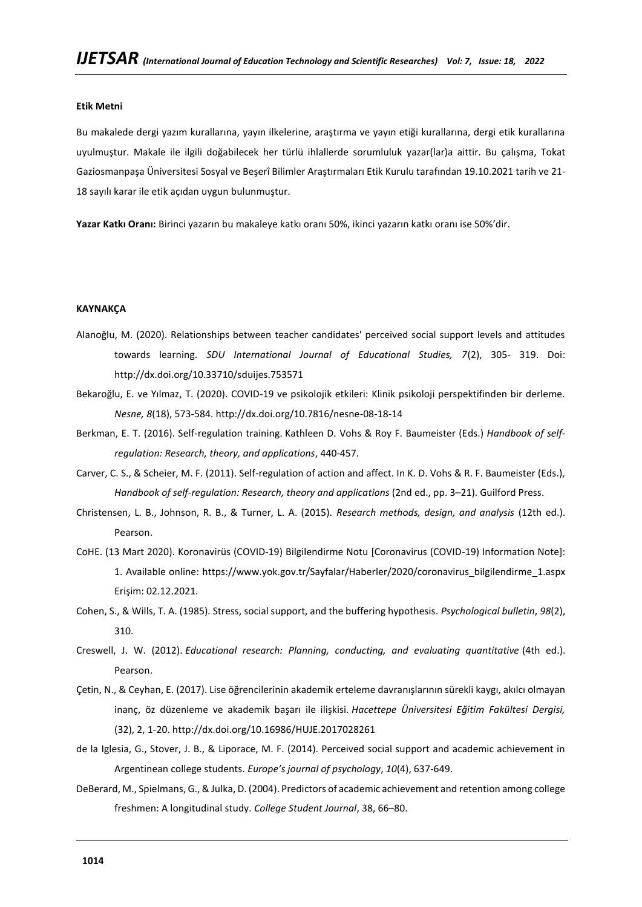### **Etik Metni**

Bu makalede dergi yazım kurallarına, yayın ilkelerine, araştırma ve yayın etiği kurallarına, dergi etik kurallarına uyulmuştur. Makale ile ilgili doğabilecek her türlü ihlallerde sorumluluk yazar(lar)a aittir. Bu çalışma, Tokat Gaziosmanpaşa Üniversitesi Sosyal ve Beşerî Bilimler Araştırmaları Etik Kurulu tarafından 19.10.2021 tarih ve 21- 18 sayılı karar ile etik açıdan uygun bulunmuştur.

**Yazar Katkı Oranı:** Birinci yazarın bu makaleye katkı oranı 50%, ikinci yazarın katkı oranı ise 50%'dir.

### **KAYNAKÇA**

- Alanoğlu, M. (2020). Relationships between teacher candidates' perceived social support levels and attitudes towards learning. *SDU International Journal of Educational Studies, 7*(2), 305- 319. Doi: http://dx.doi.org/10.33710/sduijes.753571
- Bekaroğlu, E. ve Yılmaz, T. (2020). COVID-19 ve psikolojik etkileri: Klinik psikoloji perspektifinden bir derleme. *Nesne, 8*(18), 573-584. http://dx.doi.org/10.7816/nesne-08-18-14
- Berkman, E. T. (2016). Self-regulation training. Kathleen D. Vohs & Roy F. Baumeister (Eds.) *Handbook of selfregulation: Research, theory, and applications*, 440-457.
- Carver, C. S., & Scheier, M. F. (2011). Self-regulation of action and affect. In K. D. Vohs & R. F. Baumeister (Eds.), *Handbook of self-regulation: Research, theory and applications* (2nd ed., pp. 3–21). Guilford Press.
- Christensen, L. B., Johnson, R. B., & Turner, L. A. (2015). *Research methods, design, and analysis* (12th ed.). Pearson.
- CoHE. (13 Mart 2020). Koronavirüs (COVID-19) Bilgilendirme Notu [Coronavirus (COVID-19) Information Note]: 1. Available online: [https://www.yok.gov.tr/Sayfalar/Haberler/2020/coronavirus\\_bilgilendirme\\_1.aspx](https://www.yok.gov.tr/Sayfalar/Haberler/2020/coronavirus_bilgilendirme_1.aspx) Erişim: 02.12.2021.
- Cohen, S., & Wills, T. A. (1985). Stress, social support, and the buffering hypothesis. *Psychological bulletin*, *98*(2), 310.
- Creswell, J. W. (2012). *Educational research: Planning, conducting, and evaluating quantitative* (4th ed.). Pearson.
- Çetin, N., & Ceyhan, E. (2017). Lise öğrencilerinin akademik erteleme davranışlarının sürekli kaygı, akılcı olmayan inanç, öz düzenleme ve akademik başarı ile ilişkisi. *Hacettepe Üniversitesi Eğitim Fakültesi Dergisi,*  (32), 2, 1-20. http://dx.doi.org/10.16986/HUJE.2017028261
- de la Iglesia, G., Stover, J. B., & Liporace, M. F. (2014). Perceived social support and academic achievement in Argentinean college students. *Europe's journal of psychology*, *10*(4), 637-649.
- DeBerard, M., Spielmans, G., & Julka, D. (2004). Predictors of academic achievement and retention among college freshmen: A longitudinal study. *College Student Journal*, 38, 66–80.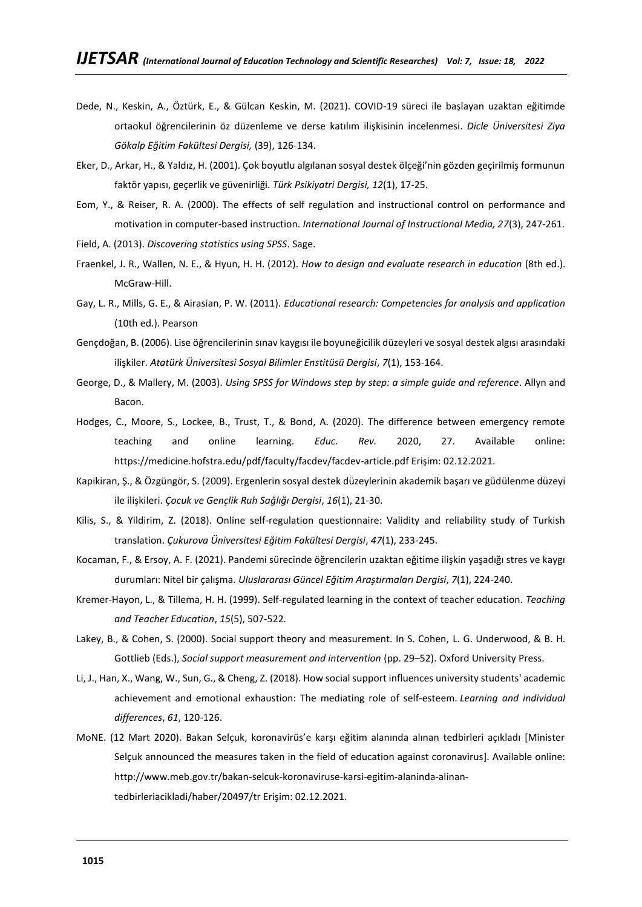- Dede, N., Keskin, A., Öztürk, E., & Gülcan Keskin, M. (2021). COVID-19 süreci ile başlayan uzaktan eğitimde ortaokul öğrencilerinin öz düzenleme ve derse katılım ilişkisinin incelenmesi. *Dicle Üniversitesi Ziya Gökalp Eğitim Fakültesi Dergisi,* (39), 126-134.
- Eker, D., Arkar, H., & Yaldız, H. (2001). Çok boyutlu algılanan sosyal destek ölçeği'nin gözden geçirilmiş formunun faktör yapısı, geçerlik ve güvenirliği. *Türk Psikiyatri Dergisi, 12*(1), 17-25.
- Eom, Y., & Reiser, R. A. (2000). The effects of self regulation and instructional control on performance and motivation in computer-based instruction. *International Journal of Instructional Media, 27*(3), 247-261.
- Field, A. (2013). *Discovering statistics using SPSS*. Sage.
- Fraenkel, J. R., Wallen, N. E., & Hyun, H. H. (2012). *How to design and evaluate research in education* (8th ed.). McGraw-Hill.
- Gay, L. R., Mills, G. E., & Airasian, P. W. (2011). *Educational research: Competencies for analysis and application* (10th ed.). Pearson
- Gençdoğan, B. (2006). Lise öğrencilerinin sınav kaygısı ile boyuneğicilik düzeyleri ve sosyal destek algısı arasındaki ilişkiler. *Atatürk Üniversitesi Sosyal Bilimler Enstitüsü Dergisi*, *7*(1), 153-164.
- George, D., & Mallery, M. (2003). *Using SPSS for Windows step by step: a simple guide and reference*. Allyn and **Bacon**
- Hodges, C., Moore, S., Lockee, B., Trust, T., & Bond, A. (2020). The difference between emergency remote teaching and online learning. *Educ. Rev.* 2020, 27. Available online: <https://medicine.hofstra.edu/pdf/faculty/facdev/facdev-article.pdf> Erişim: 02.12.2021.
- Kapikiran, Ş., & Özgüngör, S. (2009). Ergenlerin sosyal destek düzeylerinin akademik başarı ve güdülenme düzeyi ile ilişkileri. *Çocuk ve Gençlik Ruh Sağlığı Dergisi*, *16*(1), 21-30.
- Kilis, S., & Yildirim, Z. (2018). Online self-regulation questionnaire: Validity and reliability study of Turkish translation. *Çukurova Üniversitesi Eğitim Fakültesi Dergisi*, *47*(1), 233-245.
- Kocaman, F., & Ersoy, A. F. (2021). Pandemi sürecinde öğrencilerin uzaktan eğitime ilişkin yaşadığı stres ve kaygı durumları: Nitel bir çalışma. *Uluslararası Güncel Eğitim Araştırmaları Dergisi*, *7*(1), 224-240.
- Kremer-Hayon, L., & Tillema, H. H. (1999). Self-regulated learning in the context of teacher education. *Teaching and Teacher Education*, *15*(5), 507-522.
- Lakey, B., & Cohen, S. (2000). Social support theory and measurement. In S. Cohen, L. G. Underwood, & B. H. Gottlieb (Eds.), *Social support measurement and intervention* (pp. 29–52). Oxford University Press.
- Li, J., Han, X., Wang, W., Sun, G., & Cheng, Z. (2018). How social support influences university students' academic achievement and emotional exhaustion: The mediating role of self-esteem. *Learning and individual differences*, *61*, 120-126.
- MoNE. (12 Mart 2020). Bakan Selçuk, koronavirüs'e karşı eğitim alanında alınan tedbirleri açıkladı [Minister Selçuk announced the measures taken in the field of education against coronavirus]. Available online: [http://www.meb.gov.tr/bakan-selcuk-koronaviruse-karsi-egitim-alaninda-alinan](http://www.meb.gov.tr/bakan-selcuk-koronaviruse-karsi-egitim-alaninda-alinan-tedbirleriacikladi/haber/20497/tr)[tedbirleriacikladi/haber/20497/tr](http://www.meb.gov.tr/bakan-selcuk-koronaviruse-karsi-egitim-alaninda-alinan-tedbirleriacikladi/haber/20497/tr) Erişim: 02.12.2021.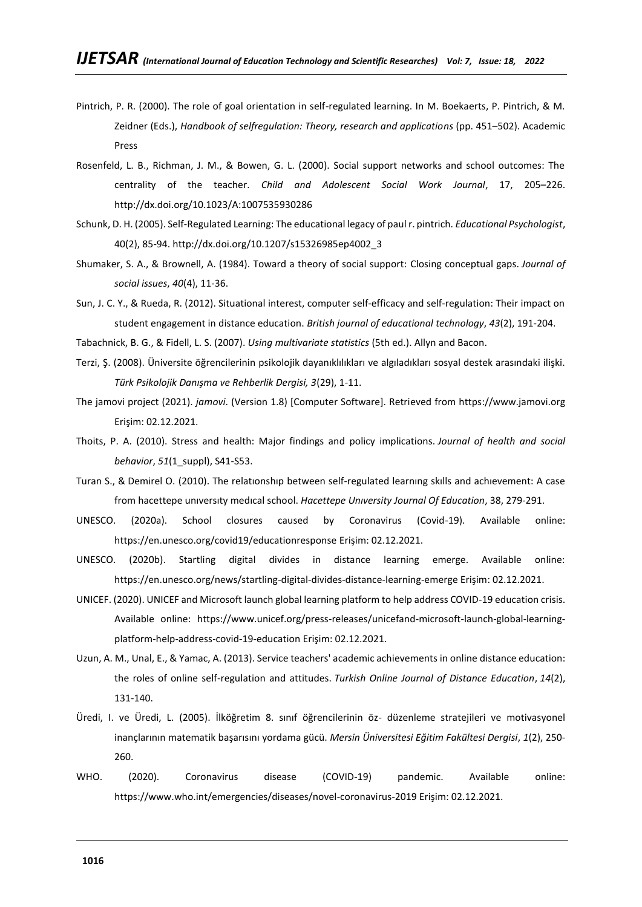- Pintrich, P. R. (2000). The role of goal orientation in self-regulated learning. In M. Boekaerts, P. Pintrich, & M. Zeidner (Eds.), *Handbook of selfregulation: Theory, research and applications* (pp. 451–502). Academic Press
- Rosenfeld, L. B., Richman, J. M., & Bowen, G. L. (2000). Social support networks and school outcomes: The centrality of the teacher. *Child and Adolescent Social Work Journal*, 17, 205–226. http://dx.doi.org/10.1023/A:1007535930286
- Schunk, D. H. (2005). Self-Regulated Learning: The educational legacy of paul r. pintrich. *Educational Psychologist*, 40(2), 85-94. http://dx.doi.org/10.1207/s15326985ep4002\_3
- Shumaker, S. A., & Brownell, A. (1984). Toward a theory of social support: Closing conceptual gaps. *Journal of social issues*, *40*(4), 11-36.
- Sun, J. C. Y., & Rueda, R. (2012). Situational interest, computer self‐efficacy and self‐regulation: Their impact on student engagement in distance education. *British journal of educational technology*, *43*(2), 191-204.
- Tabachnick, B. G., & Fidell, L. S. (2007). *Using multivariate statistics* (5th ed.). Allyn and Bacon.
- Terzi, Ş. (2008). Üniversite öğrencilerinin psikolojik dayanıklılıkları ve algıladıkları sosyal destek arasındaki ilişki. *Türk Psikolojik Danışma ve Rehberlik Dergisi, 3*(29), 1-11.
- The jamovi project (2021). *jamovi*. (Version 1.8) [Computer Software]. Retrieved from [https://www.jamovi.org](https://www.jamovi.org/) Erişim: 02.12.2021.
- Thoits, P. A. (2010). Stress and health: Major findings and policy implications. *Journal of health and social behavior*, *51*(1\_suppl), S41-S53.
- Turan S., & Demirel O. (2010). The relatıonshıp between self-regulated learnıng skılls and achıevement: A case from hacettepe unıversıty medıcal school. *Hacettepe Unıversity Journal Of Education*, 38, 279-291.
- UNESCO. (2020a). School closures caused by Coronavirus (Covid-19). Available online: <https://en.unesco.org/covid19/educationresponse> Erişim: 02.12.2021.
- UNESCO. (2020b). Startling digital divides in distance learning emerge. Available online: <https://en.unesco.org/news/startling-digital-divides-distance-learning-emerge> Erişim: 02.12.2021.
- UNICEF. (2020). UNICEF and Microsoft launch global learning platform to help address COVID-19 education crisis. Available online: [https://www.unicef.org/press-releases/unicefand-microsoft-launch-global-learning](https://www.unicef.org/press-releases/unicefand-microsoft-launch-global-learning-platform-help-address-covid-19-education)[platform-help-address-covid-19-education](https://www.unicef.org/press-releases/unicefand-microsoft-launch-global-learning-platform-help-address-covid-19-education) Erişim: 02.12.2021.
- Uzun, A. M., Unal, E., & Yamac, A. (2013). Service teachers' academic achievements in online distance education: the roles of online self-regulation and attitudes. *Turkish Online Journal of Distance Education*, *14*(2), 131-140.
- Üredi, I. ve Üredi, L. (2005). İlköğretim 8. sınıf öğrencilerinin öz- düzenleme stratejileri ve motivasyonel inançlarının matematik başarısını yordama gücü. *Mersin Üniversitesi Eğitim Fakültesi Dergisi*, *1*(2), 250- 260.
- WHO. (2020). Coronavirus disease (COVID-19) pandemic. Available online: <https://www.who.int/emergencies/diseases/novel-coronavirus-2019> Erişim: 02.12.2021.